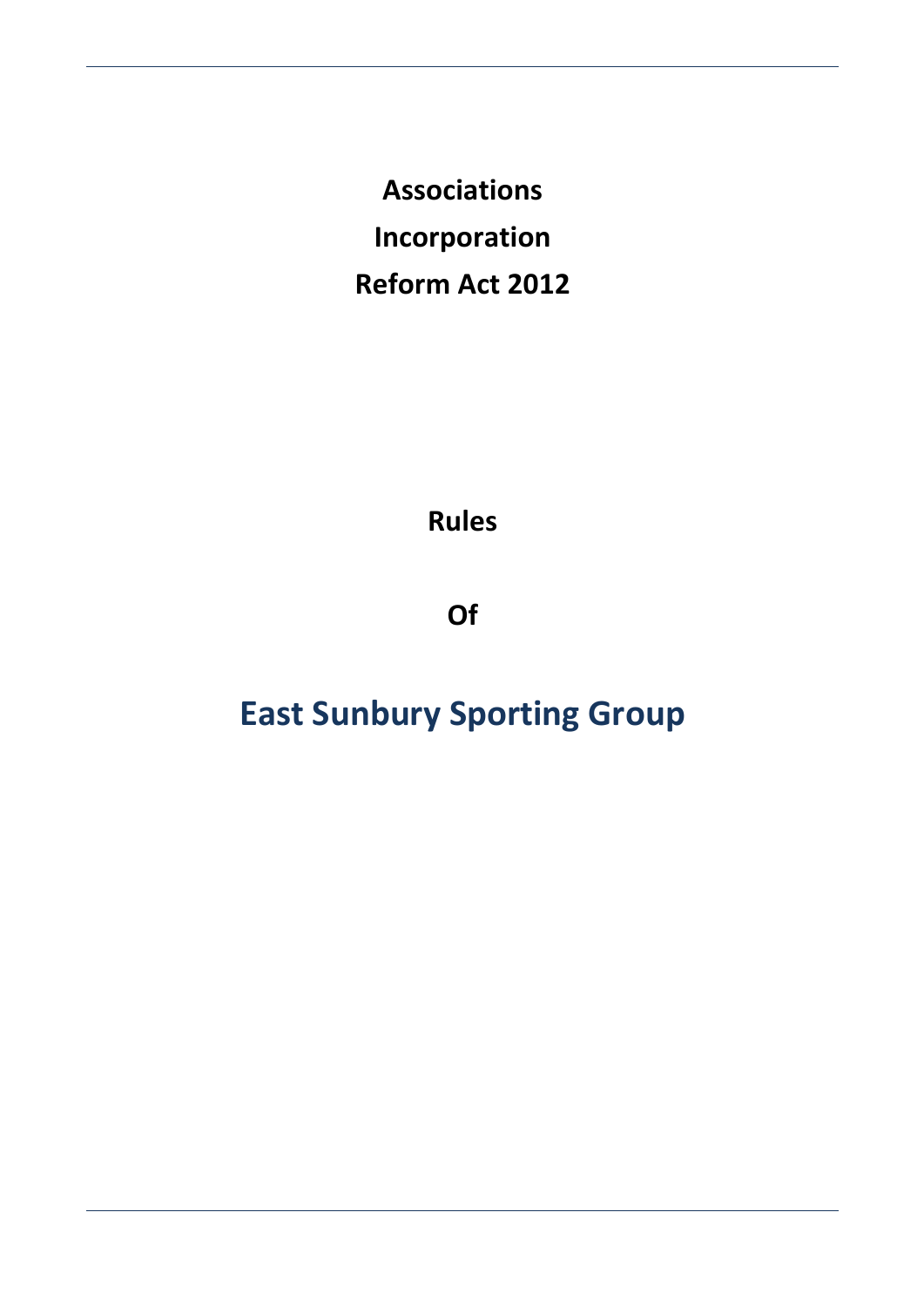**Associations Incorporation Reform Act 2012** 

**Rules** 

**Of** 

# **East Sunbury Sporting Group**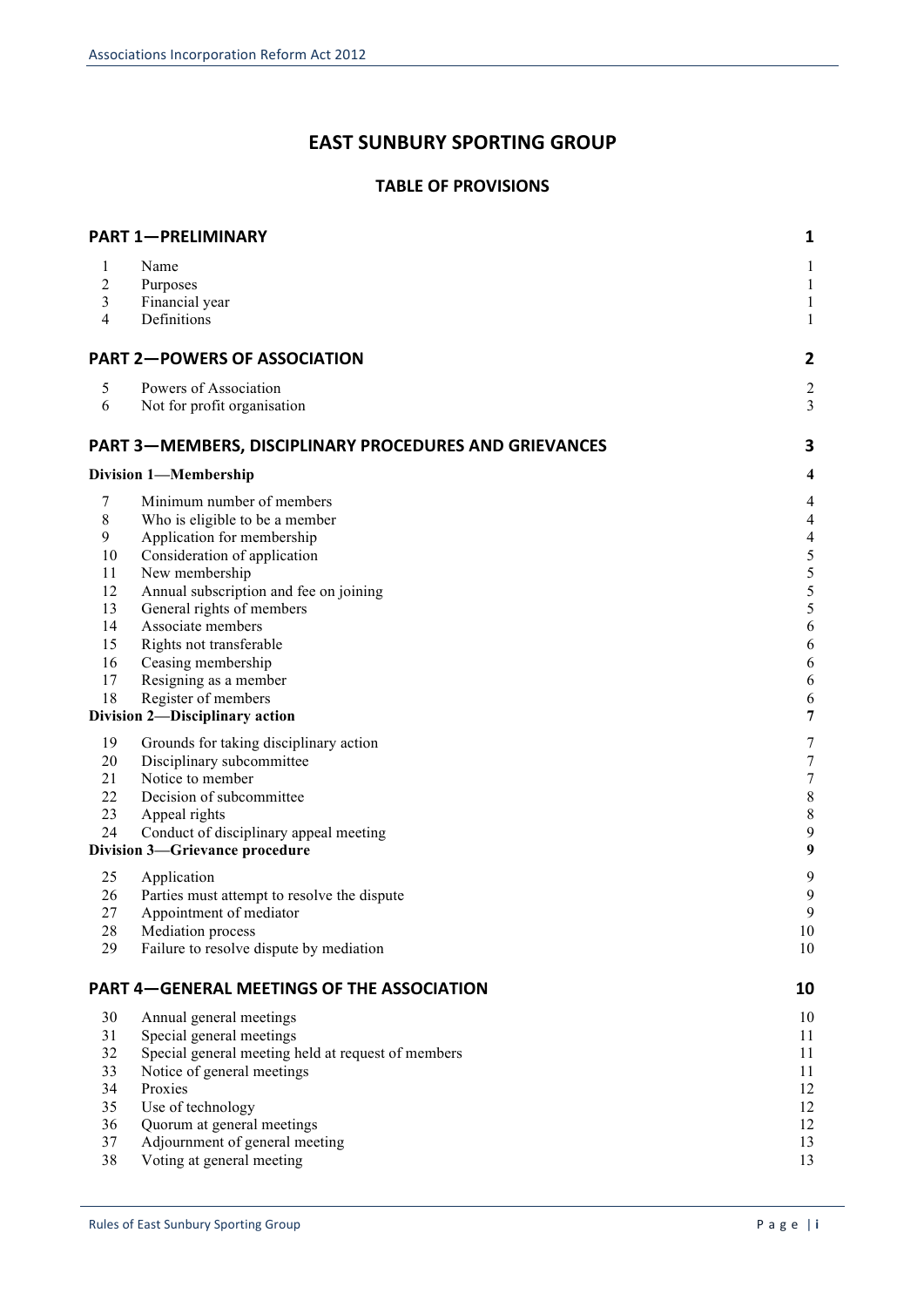## **EAST SUNBURY SPORTING GROUP**

## **TABLE OF PROVISIONS**

|                | <b>PART 1-PRELIMINARY</b>                              | 1                        |
|----------------|--------------------------------------------------------|--------------------------|
| 1              | Name                                                   | 1                        |
| $\overline{2}$ | Purposes                                               | $\mathbf{1}$             |
| 3              | Financial year                                         | 1                        |
| 4              | Definitions                                            | 1                        |
|                | <b>PART 2-POWERS OF ASSOCIATION</b>                    | 2                        |
| 5              | Powers of Association                                  | $\overline{c}$           |
| 6              | Not for profit organisation                            | 3                        |
|                | PART 3—MEMBERS, DISCIPLINARY PROCEDURES AND GRIEVANCES | 3                        |
|                | Division 1-Membership                                  | 4                        |
| 7              | Minimum number of members                              | $\overline{\mathcal{A}}$ |
| $\,$ 8 $\,$    | Who is eligible to be a member                         | $\overline{\mathcal{A}}$ |
| 9              | Application for membership                             | $\overline{\mathcal{L}}$ |
| 10             | Consideration of application                           | 5                        |
| 11             | New membership                                         | 5                        |
| 12             | Annual subscription and fee on joining                 | 5                        |
| 13             | General rights of members                              | 5                        |
| 14             | Associate members                                      | 6                        |
| 15<br>16       | Rights not transferable                                | 6                        |
| 17             | Ceasing membership<br>Resigning as a member            | 6<br>6                   |
| 18             | Register of members                                    | 6                        |
|                | <b>Division 2-Disciplinary action</b>                  | 7                        |
| 19             | Grounds for taking disciplinary action                 | 7                        |
| 20             | Disciplinary subcommittee                              | 7                        |
| 21             | Notice to member                                       | 7                        |
| 22             | Decision of subcommittee                               | 8                        |
| 23             | Appeal rights                                          | 8                        |
| 24             | Conduct of disciplinary appeal meeting                 | 9                        |
|                | <b>Division 3-Grievance procedure</b>                  | 9                        |
| 25             | Application                                            | 9                        |
| 26             | Parties must attempt to resolve the dispute            | 9                        |
| 27             | Appointment of mediator                                | 9                        |
| 28             | Mediation process                                      | 10                       |
| 29             | Failure to resolve dispute by mediation                | 10                       |
|                | <b>PART 4-GENERAL MEETINGS OF THE ASSOCIATION</b>      | 10                       |
| 30             | Annual general meetings                                | 10                       |
| 31             | Special general meetings                               | 11                       |
| 32             | Special general meeting held at request of members     | 11                       |
| 33             | Notice of general meetings                             | 11                       |
| 34             | Proxies                                                | 12                       |
| 35             | Use of technology                                      | 12                       |
| 36             | Quorum at general meetings                             | 12                       |
| 37<br>38       | Adjournment of general meeting                         | 13                       |
|                | Voting at general meeting                              | 13                       |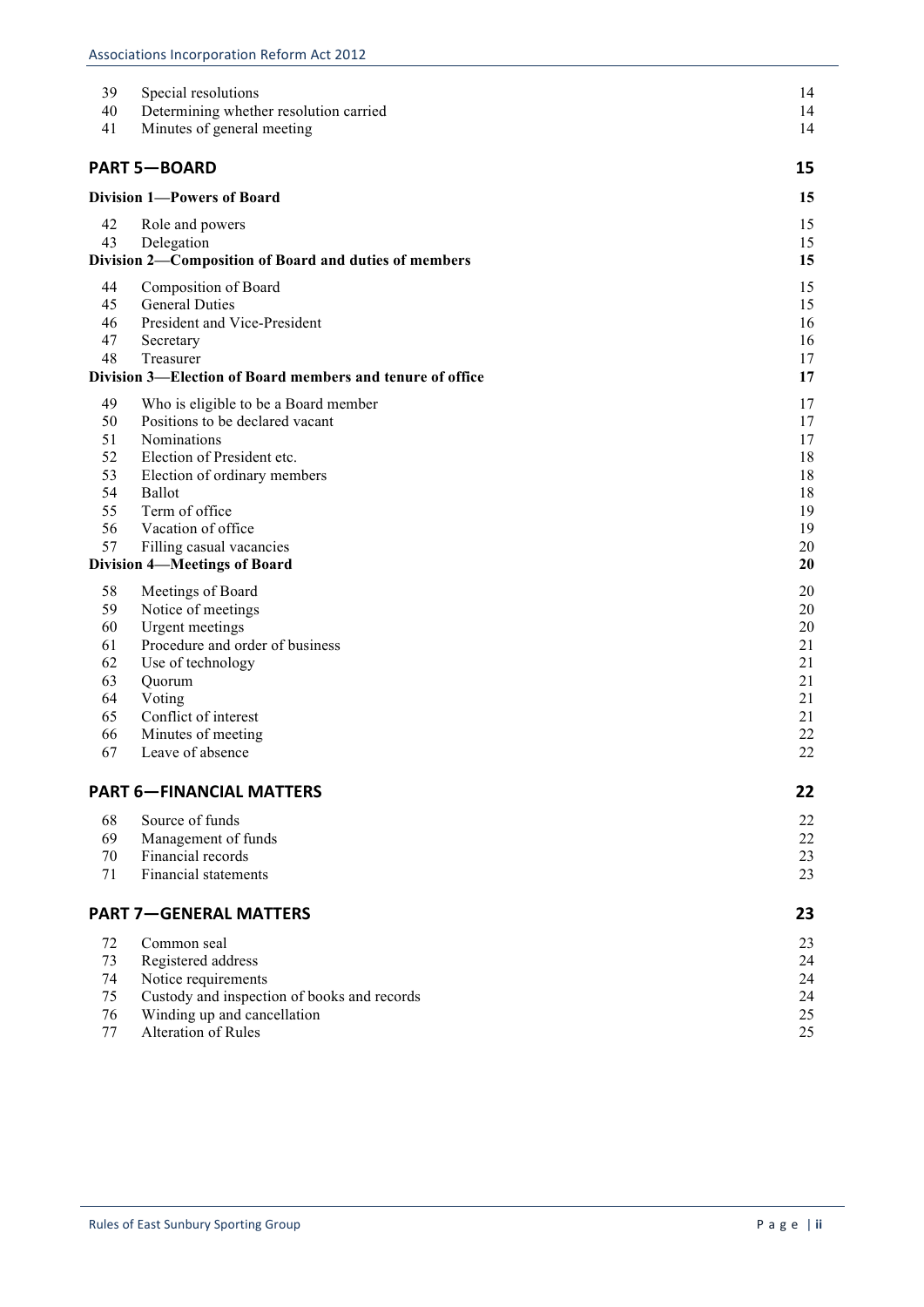| 39                                | Special resolutions                                       | 14       |
|-----------------------------------|-----------------------------------------------------------|----------|
| 40                                | Determining whether resolution carried                    | 14       |
| 41                                | Minutes of general meeting                                | 14       |
|                                   |                                                           |          |
|                                   | <b>PART 5-BOARD</b>                                       | 15       |
| <b>Division 1-Powers of Board</b> | 15                                                        |          |
| 42                                | Role and powers                                           | 15       |
| 43                                | Delegation                                                | 15       |
|                                   | Division 2-Composition of Board and duties of members     | 15       |
| 44                                | Composition of Board                                      | 15       |
| 45                                | <b>General Duties</b>                                     | 15       |
| 46                                | President and Vice-President                              | 16       |
| 47                                | Secretary                                                 | 16       |
| 48                                | Treasurer                                                 | 17       |
|                                   | Division 3-Election of Board members and tenure of office | 17       |
| 49                                | Who is eligible to be a Board member                      | 17       |
| 50                                | Positions to be declared vacant                           | 17       |
| 51                                | Nominations                                               | 17       |
| 52                                | Election of President etc.                                | 18       |
| 53                                | Election of ordinary members                              | 18       |
| 54                                | Ballot                                                    | 18       |
| 55<br>56                          | Term of office                                            | 19       |
| 57                                | Vacation of office<br>Filling casual vacancies            | 19<br>20 |
|                                   | <b>Division 4-Meetings of Board</b>                       | 20       |
|                                   |                                                           |          |
| 58<br>59                          | Meetings of Board                                         | 20<br>20 |
| 60                                | Notice of meetings<br><b>Urgent</b> meetings              | 20       |
| 61                                | Procedure and order of business                           | 21       |
| 62                                | Use of technology                                         | 21       |
| 63                                | Quorum                                                    | 21       |
| 64                                | Voting                                                    | 21       |
| 65                                | Conflict of interest                                      | 21       |
| 66                                | Minutes of meeting                                        | 22       |
| 67                                | Leave of absence                                          | 22       |
|                                   | <b>PART 6-FINANCIAL MATTERS</b>                           | 22       |
| 68                                | Source of funds                                           | 22       |
| 69                                | Management of funds                                       | 22       |
| 70                                | Financial records                                         | 23       |
| 71                                | <b>Financial statements</b>                               | 23       |
|                                   |                                                           |          |
|                                   | <b>PART 7-GENERAL MATTERS</b>                             | 23       |
| 72                                | Common seal                                               | 23       |
| 73                                | Registered address                                        | 24       |
| 74                                | Notice requirements                                       | 24       |
| 75                                | Custody and inspection of books and records               | 24       |
| 76                                | Winding up and cancellation                               | 25       |
| 77                                | Alteration of Rules                                       | 25       |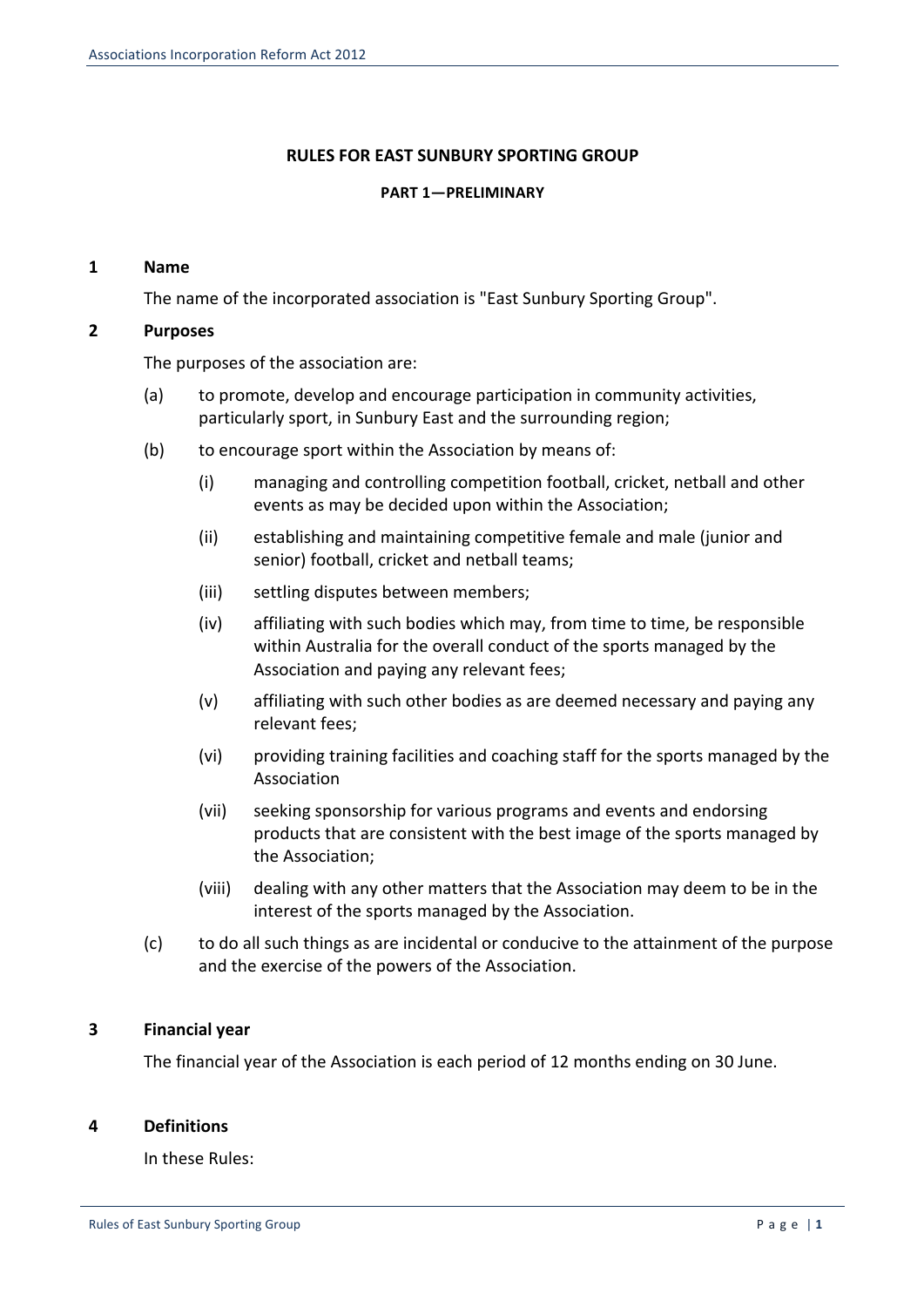## **RULES FOR EAST SUNBURY SPORTING GROUP**

#### **PART 1—PRELIMINARY**

## **1 Name**

The name of the incorporated association is "East Sunbury Sporting Group".

## **2 Purposes**

The purposes of the association are:

- (a) to promote, develop and encourage participation in community activities, particularly sport, in Sunbury East and the surrounding region;
- (b) to encourage sport within the Association by means of:
	- (i) managing and controlling competition football, cricket, netball and other events as may be decided upon within the Association;
	- (ii) establishing and maintaining competitive female and male (junior and senior) football, cricket and netball teams;
	- (iii) settling disputes between members;
	- (iv) affiliating with such bodies which may, from time to time, be responsible within Australia for the overall conduct of the sports managed by the Association and paying any relevant fees;
	- (v) affiliating with such other bodies as are deemed necessary and paying any relevant fees:
	- (vi) providing training facilities and coaching staff for the sports managed by the Association
	- (vii) seeking sponsorship for various programs and events and endorsing products that are consistent with the best image of the sports managed by the Association;
	- (viii) dealing with any other matters that the Association may deem to be in the interest of the sports managed by the Association.
- (c) to do all such things as are incidental or conducive to the attainment of the purpose and the exercise of the powers of the Association.

## **3 Financial year**

The financial year of the Association is each period of 12 months ending on 30 June.

## **4 Definitions**

In these Rules: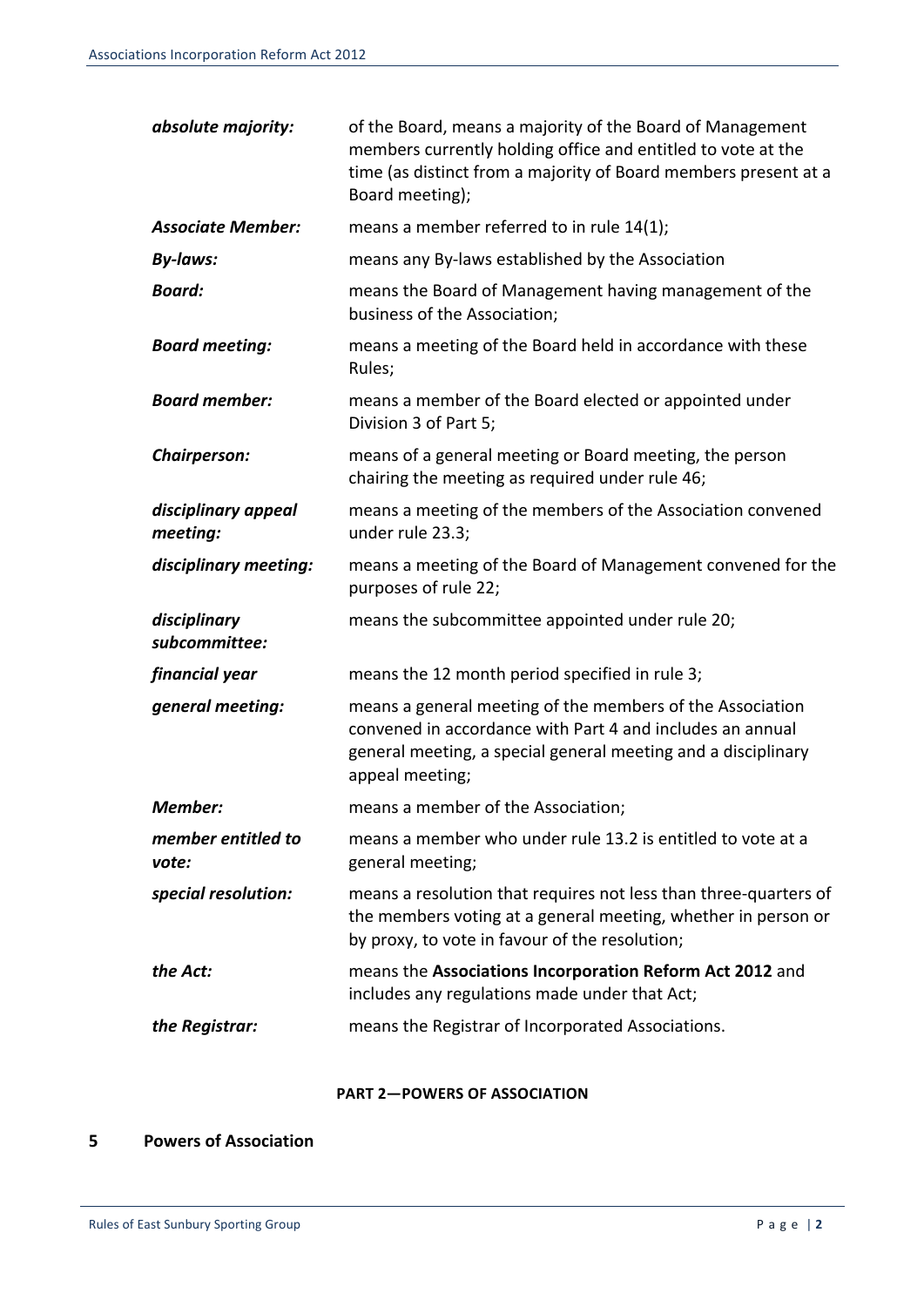| absolute majority:              | of the Board, means a majority of the Board of Management<br>members currently holding office and entitled to vote at the<br>time (as distinct from a majority of Board members present at a<br>Board meeting); |
|---------------------------------|-----------------------------------------------------------------------------------------------------------------------------------------------------------------------------------------------------------------|
| <b>Associate Member:</b>        | means a member referred to in rule 14(1);                                                                                                                                                                       |
| <b>By-laws:</b>                 | means any By-laws established by the Association                                                                                                                                                                |
| <b>Board:</b>                   | means the Board of Management having management of the<br>business of the Association;                                                                                                                          |
| <b>Board meeting:</b>           | means a meeting of the Board held in accordance with these<br>Rules;                                                                                                                                            |
| <b>Board member:</b>            | means a member of the Board elected or appointed under<br>Division 3 of Part 5;                                                                                                                                 |
| Chairperson:                    | means of a general meeting or Board meeting, the person<br>chairing the meeting as required under rule 46;                                                                                                      |
| disciplinary appeal<br>meeting: | means a meeting of the members of the Association convened<br>under rule 23.3;                                                                                                                                  |
| disciplinary meeting:           | means a meeting of the Board of Management convened for the<br>purposes of rule 22;                                                                                                                             |
| disciplinary<br>subcommittee:   | means the subcommittee appointed under rule 20;                                                                                                                                                                 |
| financial year                  | means the 12 month period specified in rule 3;                                                                                                                                                                  |
| general meeting:                | means a general meeting of the members of the Association<br>convened in accordance with Part 4 and includes an annual<br>general meeting, a special general meeting and a disciplinary<br>appeal meeting;      |
| <b>Member:</b>                  | means a member of the Association;                                                                                                                                                                              |
| member entitled to<br>vote:     | means a member who under rule 13.2 is entitled to vote at a<br>general meeting;                                                                                                                                 |
| special resolution:             | means a resolution that requires not less than three-quarters of<br>the members voting at a general meeting, whether in person or<br>by proxy, to vote in favour of the resolution;                             |
| the Act:                        | means the Associations Incorporation Reform Act 2012 and<br>includes any regulations made under that Act;                                                                                                       |
| the Registrar:                  | means the Registrar of Incorporated Associations.                                                                                                                                                               |

#### **PART 2-POWERS OF ASSOCIATION**

## **5 Powers of Association**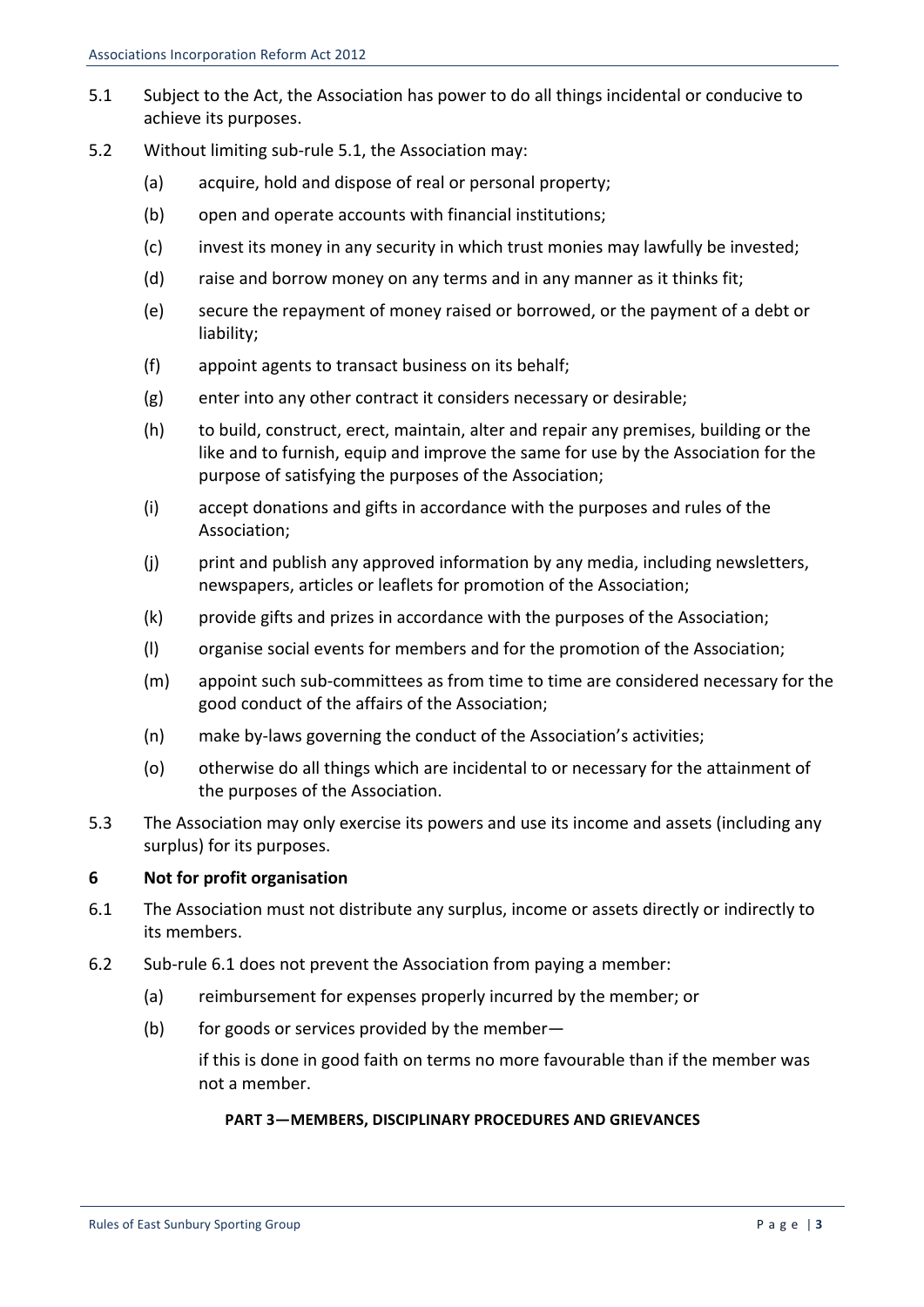- 5.1 Subject to the Act, the Association has power to do all things incidental or conducive to achieve its purposes.
- 5.2 Without limiting sub-rule 5.1, the Association may:
	- (a) acquire, hold and dispose of real or personal property;
	- (b) open and operate accounts with financial institutions;
	- (c) invest its money in any security in which trust monies may lawfully be invested;
	- (d) raise and borrow money on any terms and in any manner as it thinks fit;
	- (e) secure the repayment of money raised or borrowed, or the payment of a debt or liability;
	- (f) appoint agents to transact business on its behalf;
	- (g) enter into any other contract it considers necessary or desirable;
	- (h) to build, construct, erect, maintain, alter and repair any premises, building or the like and to furnish, equip and improve the same for use by the Association for the purpose of satisfying the purposes of the Association;
	- $(i)$  accept donations and gifts in accordance with the purposes and rules of the Association;
	- $(i)$  print and publish any approved information by any media, including newsletters, newspapers, articles or leaflets for promotion of the Association;
	- $(k)$  provide gifts and prizes in accordance with the purposes of the Association;
	- (I) organise social events for members and for the promotion of the Association;
	- (m) appoint such sub-committees as from time to time are considered necessary for the good conduct of the affairs of the Association;
	- (n) make by-laws governing the conduct of the Association's activities;
	- (o) otherwise do all things which are incidental to or necessary for the attainment of the purposes of the Association.
- 5.3 The Association may only exercise its powers and use its income and assets (including any surplus) for its purposes.

#### **6 Not for profit organisation**

- 6.1 The Association must not distribute any surplus, income or assets directly or indirectly to its members.
- 6.2 Sub-rule 6.1 does not prevent the Association from paying a member:
	- (a) reimbursement for expenses properly incurred by the member; or
	- (b) for goods or services provided by the member—

if this is done in good faith on terms no more favourable than if the member was not a member.

#### **PART 3-MEMBERS, DISCIPLINARY PROCEDURES AND GRIEVANCES**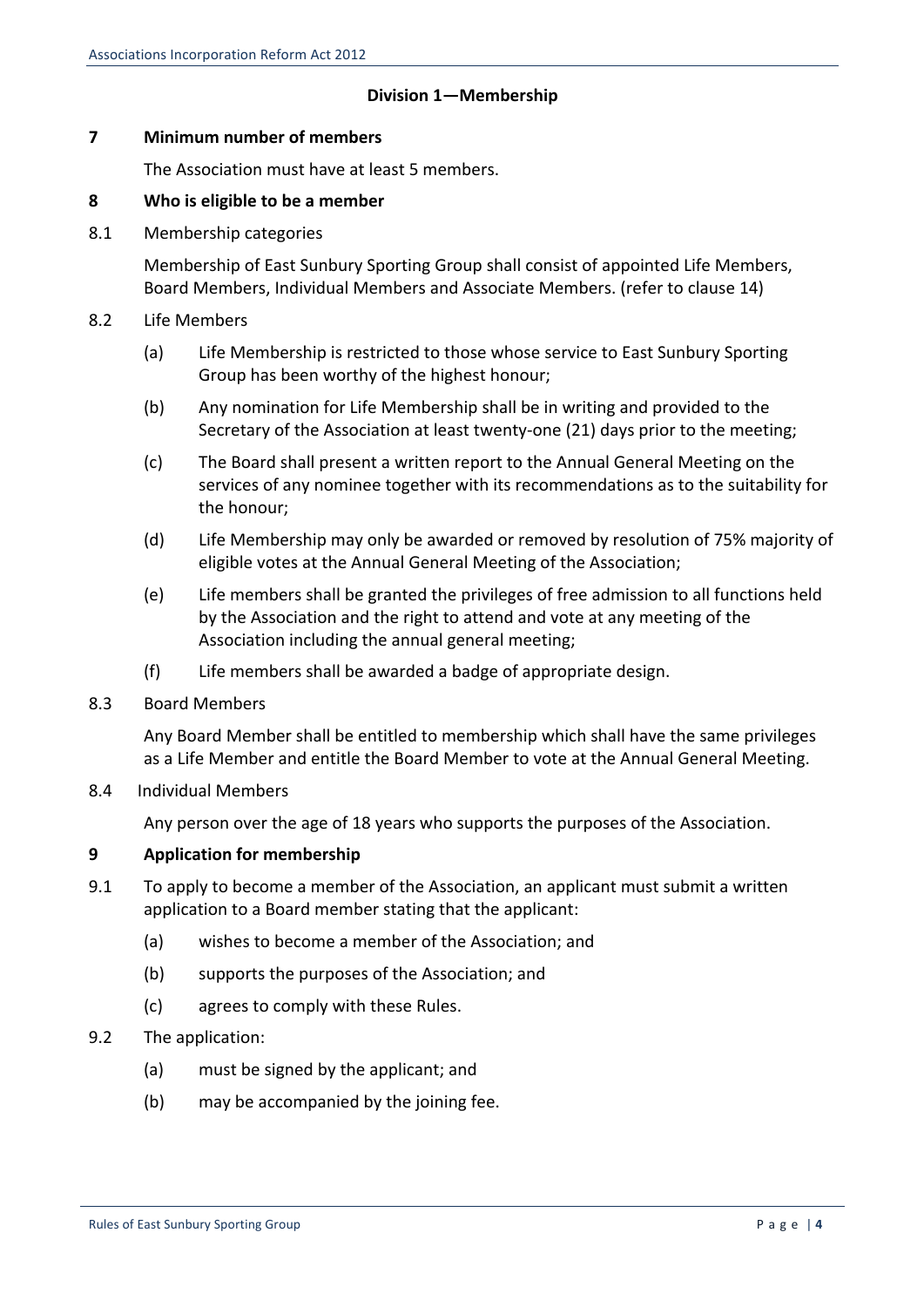## **Division 1—Membership**

## **7 Minimum number of members**

The Association must have at least 5 members.

## **8 Who is eligible to be a member**

8.1 Membership categories

Membership of East Sunbury Sporting Group shall consist of appointed Life Members, Board Members, Individual Members and Associate Members. (refer to clause 14)

- 8.2 Life Members
	- (a) Life Membership is restricted to those whose service to East Sunbury Sporting Group has been worthy of the highest honour;
	- (b) Any nomination for Life Membership shall be in writing and provided to the Secretary of the Association at least twenty-one (21) days prior to the meeting;
	- (c) The Board shall present a written report to the Annual General Meeting on the services of any nominee together with its recommendations as to the suitability for the honour;
	- (d) Life Membership may only be awarded or removed by resolution of 75% majority of eligible votes at the Annual General Meeting of the Association;
	- (e) Life members shall be granted the privileges of free admission to all functions held by the Association and the right to attend and vote at any meeting of the Association including the annual general meeting;
	- $(f)$  Life members shall be awarded a badge of appropriate design.
- 8.3 Board Members

Any Board Member shall be entitled to membership which shall have the same privileges as a Life Member and entitle the Board Member to vote at the Annual General Meeting.

8.4 Individual Members

Any person over the age of 18 years who supports the purposes of the Association.

## **9 Application for membership**

- 9.1 To apply to become a member of the Association, an applicant must submit a written application to a Board member stating that the applicant:
	- (a) wishes to become a member of the Association; and
	- (b) supports the purposes of the Association; and
	- (c) agrees to comply with these Rules.
- 9.2 The application:
	- (a) must be signed by the applicant; and
	- (b) may be accompanied by the joining fee.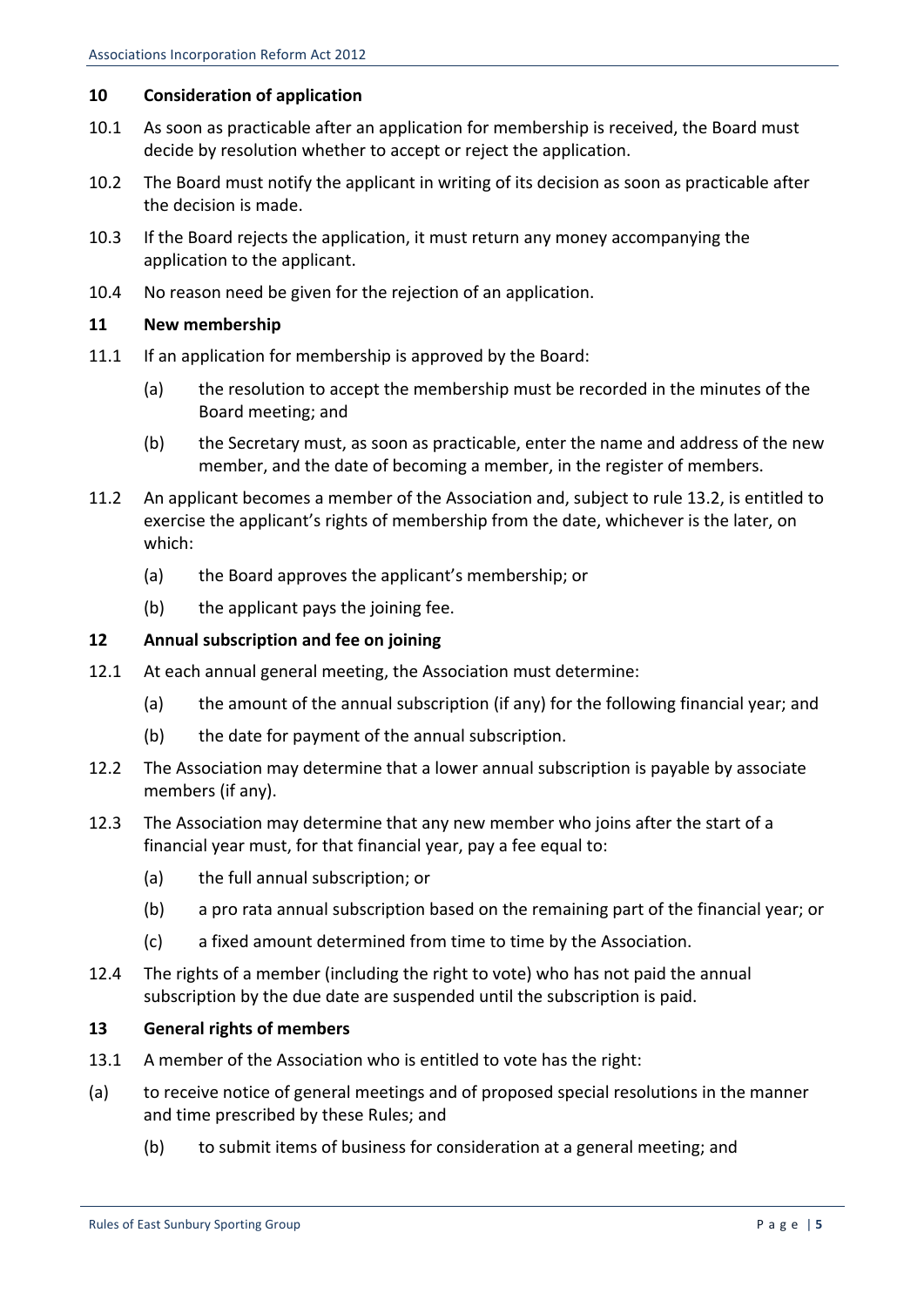## **10 Consideration of application**

- 10.1 As soon as practicable after an application for membership is received, the Board must decide by resolution whether to accept or reject the application.
- 10.2 The Board must notify the applicant in writing of its decision as soon as practicable after the decision is made.
- 10.3 If the Board rejects the application, it must return any money accompanying the application to the applicant.
- 10.4 No reason need be given for the rejection of an application.

## **11 New membership**

- 11.1 If an application for membership is approved by the Board:
	- (a) the resolution to accept the membership must be recorded in the minutes of the Board meeting; and
	- (b) the Secretary must, as soon as practicable, enter the name and address of the new member, and the date of becoming a member, in the register of members.
- 11.2 An applicant becomes a member of the Association and, subject to rule 13.2, is entitled to exercise the applicant's rights of membership from the date, whichever is the later, on which:
	- (a) the Board approves the applicant's membership; or
	- $(b)$  the applicant pays the joining fee.

## **12 Annual subscription and fee on joining**

- 12.1 At each annual general meeting, the Association must determine:
	- (a) the amount of the annual subscription (if any) for the following financial year; and
	- $(b)$  the date for payment of the annual subscription.
- 12.2 The Association may determine that a lower annual subscription is payable by associate members (if any).
- 12.3 The Association may determine that any new member who joins after the start of a financial year must, for that financial year, pay a fee equal to:
	- (a) the full annual subscription; or
	- (b) a pro rata annual subscription based on the remaining part of the financial year; or
	- (c) a fixed amount determined from time to time by the Association.
- 12.4 The rights of a member (including the right to vote) who has not paid the annual subscription by the due date are suspended until the subscription is paid.

## 13 **General rights of members**

- 13.1 A member of the Association who is entitled to vote has the right:
- (a) to receive notice of general meetings and of proposed special resolutions in the manner and time prescribed by these Rules; and
	- (b) to submit items of business for consideration at a general meeting; and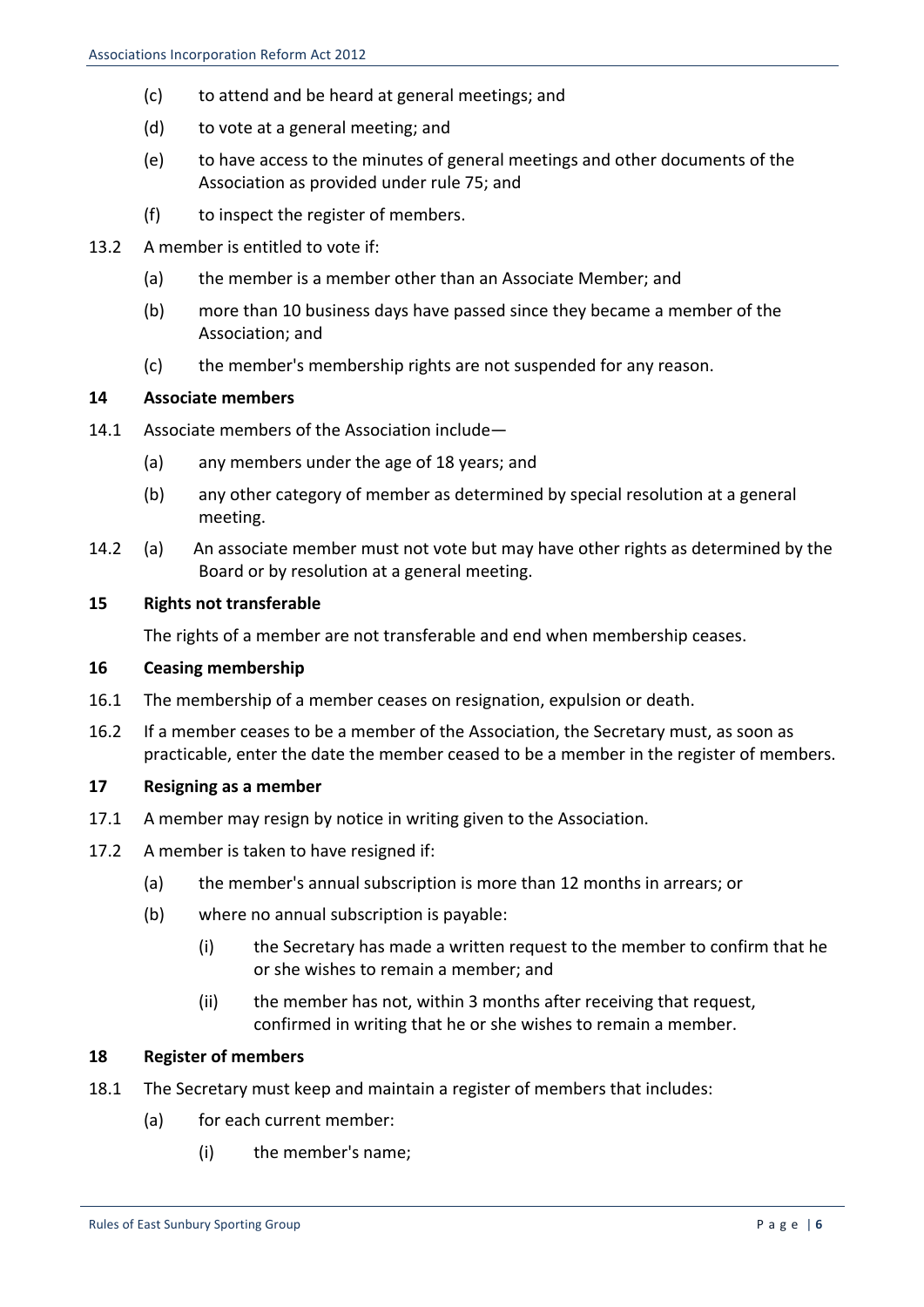- (c) to attend and be heard at general meetings; and
- (d) to vote at a general meeting; and
- (e) to have access to the minutes of general meetings and other documents of the Association as provided under rule 75; and
- $(f)$  to inspect the register of members.
- 13.2 A member is entitled to vote if:
	- (a) the member is a member other than an Associate Member; and
	- (b) more than 10 business days have passed since they became a member of the Association; and
	- (c) the member's membership rights are not suspended for any reason.

## 14 **Associate members**

- 14.1 Associate members of the Association include—
	- (a) any members under the age of 18 years; and
	- (b) any other category of member as determined by special resolution at a general meeting.
- 14.2 (a) An associate member must not vote but may have other rights as determined by the Board or by resolution at a general meeting.

## **15** Rights not transferable

The rights of a member are not transferable and end when membership ceases.

## **16 Ceasing membership**

- 16.1 The membership of a member ceases on resignation, expulsion or death.
- 16.2 If a member ceases to be a member of the Association, the Secretary must, as soon as practicable, enter the date the member ceased to be a member in the register of members.

## **17 Resigning as a member**

- 17.1 A member may resign by notice in writing given to the Association.
- 17.2 A member is taken to have resigned if:
	- (a) the member's annual subscription is more than 12 months in arrears; or
	- $(b)$  where no annual subscription is payable:
		- (i) the Secretary has made a written request to the member to confirm that he or she wishes to remain a member; and
		- (ii) the member has not, within 3 months after receiving that request, confirmed in writing that he or she wishes to remain a member.

## **18 Register of members**

- 18.1 The Secretary must keep and maintain a register of members that includes:
	- (a) for each current member:
		- (i) the member's name: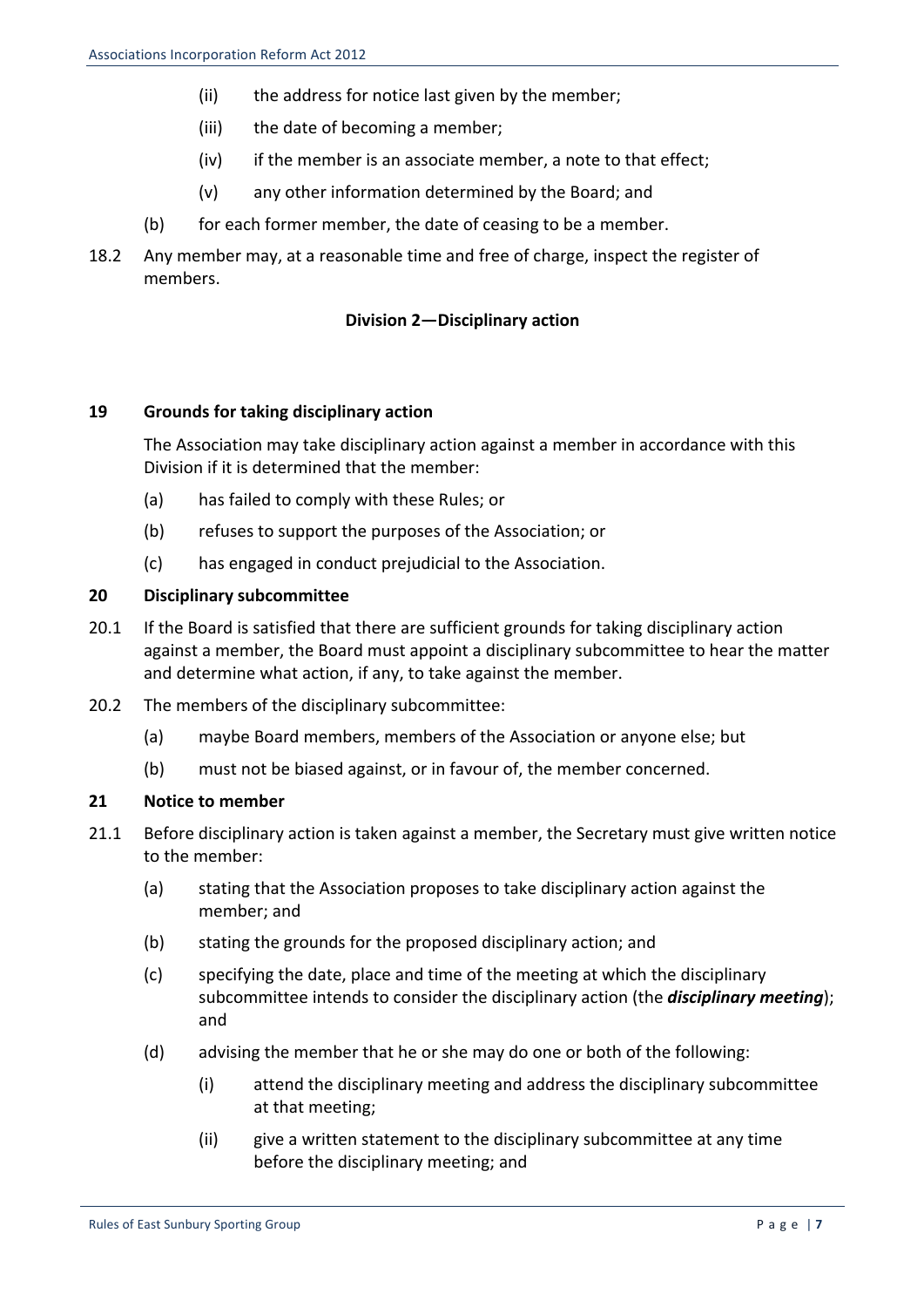- (ii) the address for notice last given by the member;
- (iii) the date of becoming a member;
- $(iv)$  if the member is an associate member, a note to that effect;
- $(v)$  any other information determined by the Board; and
- (b) for each former member, the date of ceasing to be a member.
- 18.2 Any member may, at a reasonable time and free of charge, inspect the register of members.

## **Division 2—Disciplinary action**

## 19 **Grounds for taking disciplinary action**

The Association may take disciplinary action against a member in accordance with this Division if it is determined that the member:

- (a) has failed to comply with these Rules; or
- (b) refuses to support the purposes of the Association; or
- (c) has engaged in conduct prejudicial to the Association.

### **20 Disciplinary subcommittee**

- 20.1 If the Board is satisfied that there are sufficient grounds for taking disciplinary action against a member, the Board must appoint a disciplinary subcommittee to hear the matter and determine what action, if any, to take against the member.
- 20.2 The members of the disciplinary subcommittee:
	- (a) maybe Board members, members of the Association or anyone else; but
	- (b) must not be biased against, or in favour of, the member concerned.

#### **21** Notice to member

- 21.1 Before disciplinary action is taken against a member, the Secretary must give written notice to the member:
	- (a) stating that the Association proposes to take disciplinary action against the member; and
	- (b) stating the grounds for the proposed disciplinary action; and
	- (c) specifying the date, place and time of the meeting at which the disciplinary subcommittee intends to consider the disciplinary action (the **disciplinary meeting**); and
	- (d) advising the member that he or she may do one or both of the following:
		- (i) attend the disciplinary meeting and address the disciplinary subcommittee at that meeting:
		- (ii) give a written statement to the disciplinary subcommittee at any time before the disciplinary meeting; and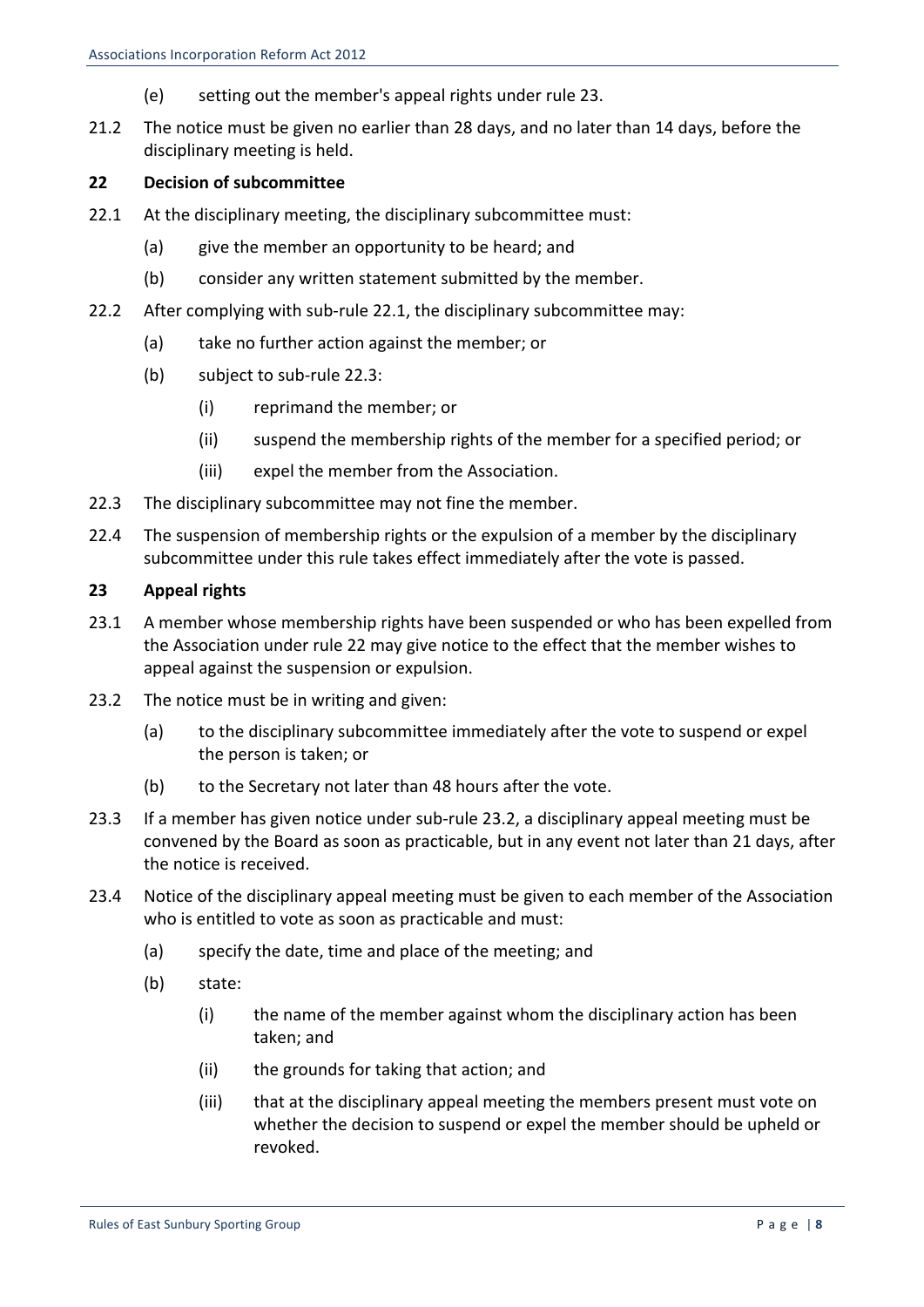- (e) setting out the member's appeal rights under rule 23.
- 21.2 The notice must be given no earlier than 28 days, and no later than 14 days, before the disciplinary meeting is held.

## **22 Decision of subcommittee**

- 22.1 At the disciplinary meeting, the disciplinary subcommittee must:
	- (a) give the member an opportunity to be heard; and
	- (b) consider any written statement submitted by the member.
- 22.2 After complying with sub-rule 22.1, the disciplinary subcommittee may:
	- (a) take no further action against the member; or
	- $(b)$  subject to sub-rule 22.3:
		- (i) reprimand the member; or
		- (ii) suspend the membership rights of the member for a specified period; or
		- (iii) expel the member from the Association.
- 22.3 The disciplinary subcommittee may not fine the member.
- 22.4 The suspension of membership rights or the expulsion of a member by the disciplinary subcommittee under this rule takes effect immediately after the vote is passed.

#### **23 Appeal rights**

- 23.1 A member whose membership rights have been suspended or who has been expelled from the Association under rule 22 may give notice to the effect that the member wishes to appeal against the suspension or expulsion.
- 23.2 The notice must be in writing and given:
	- (a) to the disciplinary subcommittee immediately after the vote to suspend or expel the person is taken; or
	- (b) to the Secretary not later than 48 hours after the vote.
- 23.3 If a member has given notice under sub-rule 23.2, a disciplinary appeal meeting must be convened by the Board as soon as practicable, but in any event not later than 21 days, after the notice is received.
- 23.4 Notice of the disciplinary appeal meeting must be given to each member of the Association who is entitled to vote as soon as practicable and must:
	- (a) specify the date, time and place of the meeting; and
	- (b) state:
		- (i) the name of the member against whom the disciplinary action has been taken; and
		- (ii) the grounds for taking that action; and
		- (iii) that at the disciplinary appeal meeting the members present must vote on whether the decision to suspend or expel the member should be upheld or revoked.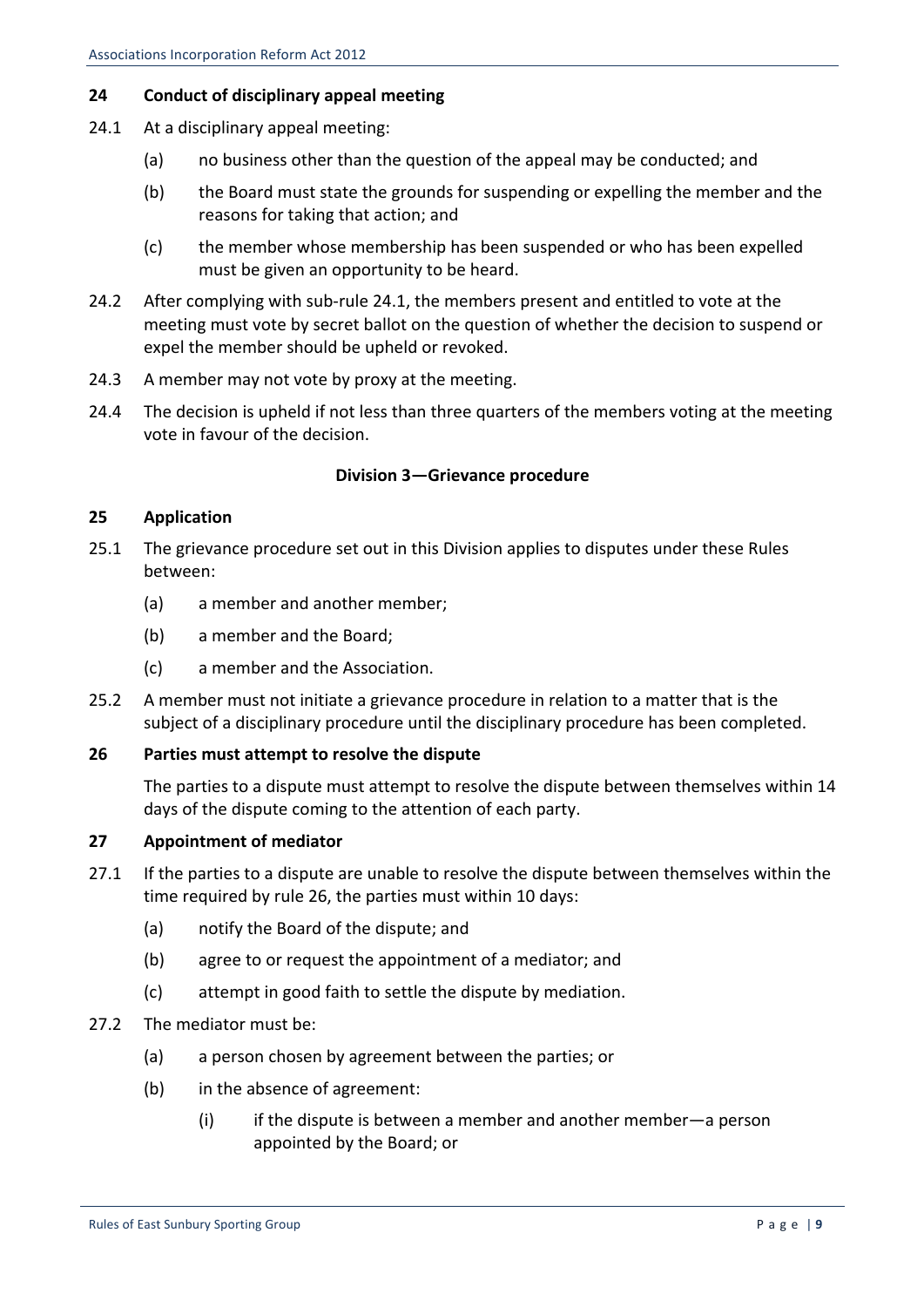## **24 Conduct of disciplinary appeal meeting**

- 24.1 At a disciplinary appeal meeting:
	- (a) no business other than the question of the appeal may be conducted; and
	- (b) the Board must state the grounds for suspending or expelling the member and the reasons for taking that action; and
	- (c) the member whose membership has been suspended or who has been expelled must be given an opportunity to be heard.
- 24.2 After complying with sub-rule 24.1, the members present and entitled to vote at the meeting must vote by secret ballot on the question of whether the decision to suspend or expel the member should be upheld or revoked.
- 24.3 A member may not vote by proxy at the meeting.
- 24.4 The decision is upheld if not less than three quarters of the members voting at the meeting vote in favour of the decision.

## **Division 3-Grievance procedure**

## **25 Application**

- 25.1 The grievance procedure set out in this Division applies to disputes under these Rules between:
	- (a) a member and another member;
	- (b) a member and the Board:
	- (c) a member and the Association.
- 25.2 A member must not initiate a grievance procedure in relation to a matter that is the subject of a disciplinary procedure until the disciplinary procedure has been completed.

## **26** Parties must attempt to resolve the dispute

The parties to a dispute must attempt to resolve the dispute between themselves within 14 days of the dispute coming to the attention of each party.

## **27 Appointment of mediator**

- 27.1 If the parties to a dispute are unable to resolve the dispute between themselves within the time required by rule 26, the parties must within 10 days:
	- (a) notify the Board of the dispute; and
	- (b) agree to or request the appointment of a mediator; and
	- (c) attempt in good faith to settle the dispute by mediation.
- 27.2 The mediator must be:
	- (a) a person chosen by agreement between the parties; or
	- (b) in the absence of agreement:
		- (i) if the dispute is between a member and another member—a person appointed by the Board; or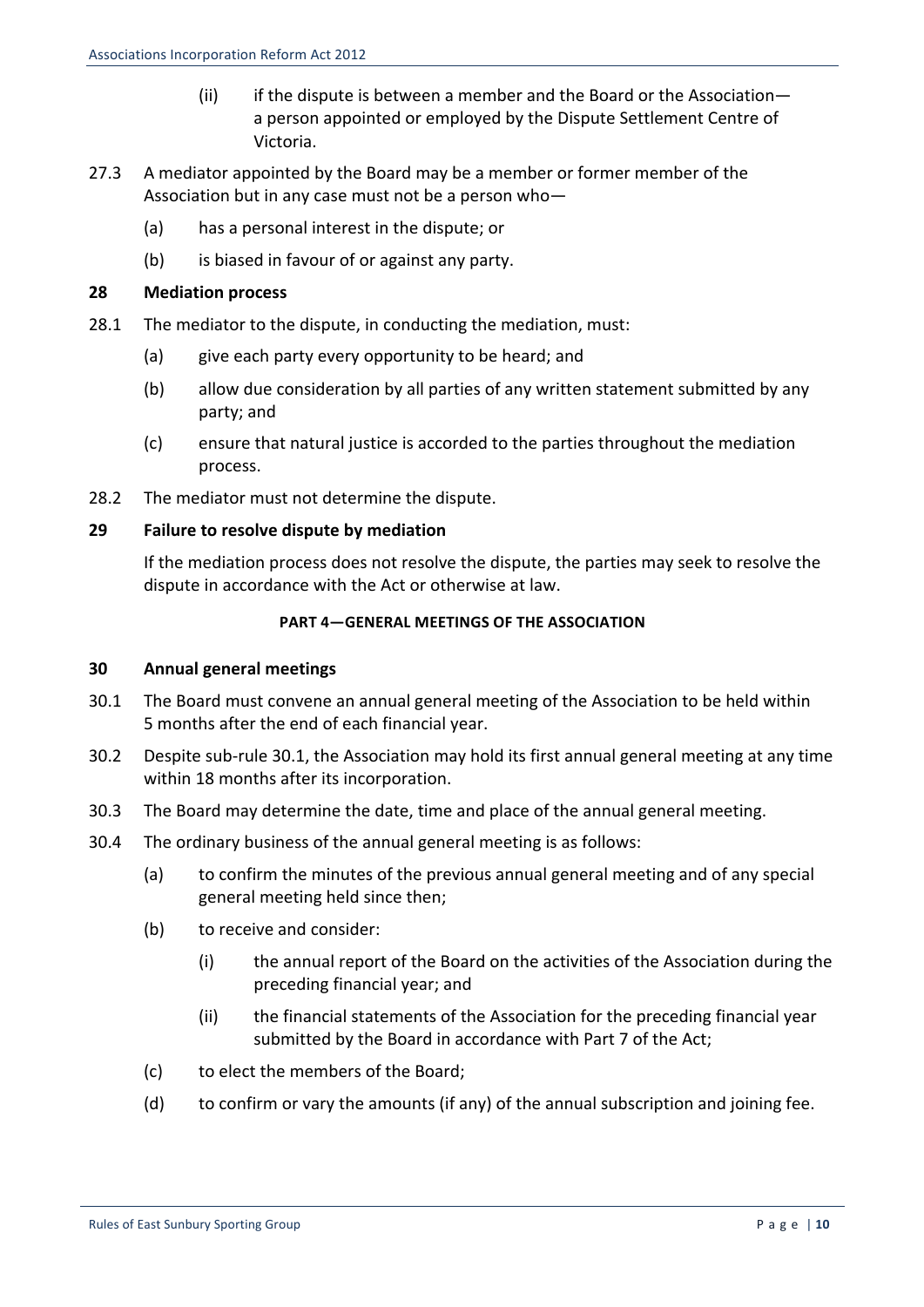- (ii) if the dispute is between a member and the Board or the Associationa person appointed or employed by the Dispute Settlement Centre of Victoria.
- 27.3 A mediator appointed by the Board may be a member or former member of the Association but in any case must not be a person who-
	- (a) has a personal interest in the dispute; or
	- (b) is biased in favour of or against any party.

## **28 Mediation process**

- 28.1 The mediator to the dispute, in conducting the mediation, must:
	- (a) give each party every opportunity to be heard; and
	- (b) allow due consideration by all parties of any written statement submitted by any party; and
	- (c) ensure that natural justice is accorded to the parties throughout the mediation process.
- 28.2 The mediator must not determine the dispute.

## **29 Failure to resolve dispute by mediation**

If the mediation process does not resolve the dispute, the parties may seek to resolve the dispute in accordance with the Act or otherwise at law.

## **PART 4–GENERAL MEETINGS OF THE ASSOCIATION**

## **30 Annual general meetings**

- 30.1 The Board must convene an annual general meeting of the Association to be held within 5 months after the end of each financial year.
- 30.2 Despite sub-rule 30.1, the Association may hold its first annual general meeting at any time within 18 months after its incorporation.
- 30.3 The Board may determine the date, time and place of the annual general meeting.
- 30.4 The ordinary business of the annual general meeting is as follows:
	- (a) to confirm the minutes of the previous annual general meeting and of any special general meeting held since then;
	- (b) to receive and consider:
		- (i) the annual report of the Board on the activities of the Association during the preceding financial year; and
		- (ii) the financial statements of the Association for the preceding financial year submitted by the Board in accordance with Part 7 of the Act;
	- (c) to elect the members of the Board;
	- (d) to confirm or vary the amounts (if any) of the annual subscription and joining fee.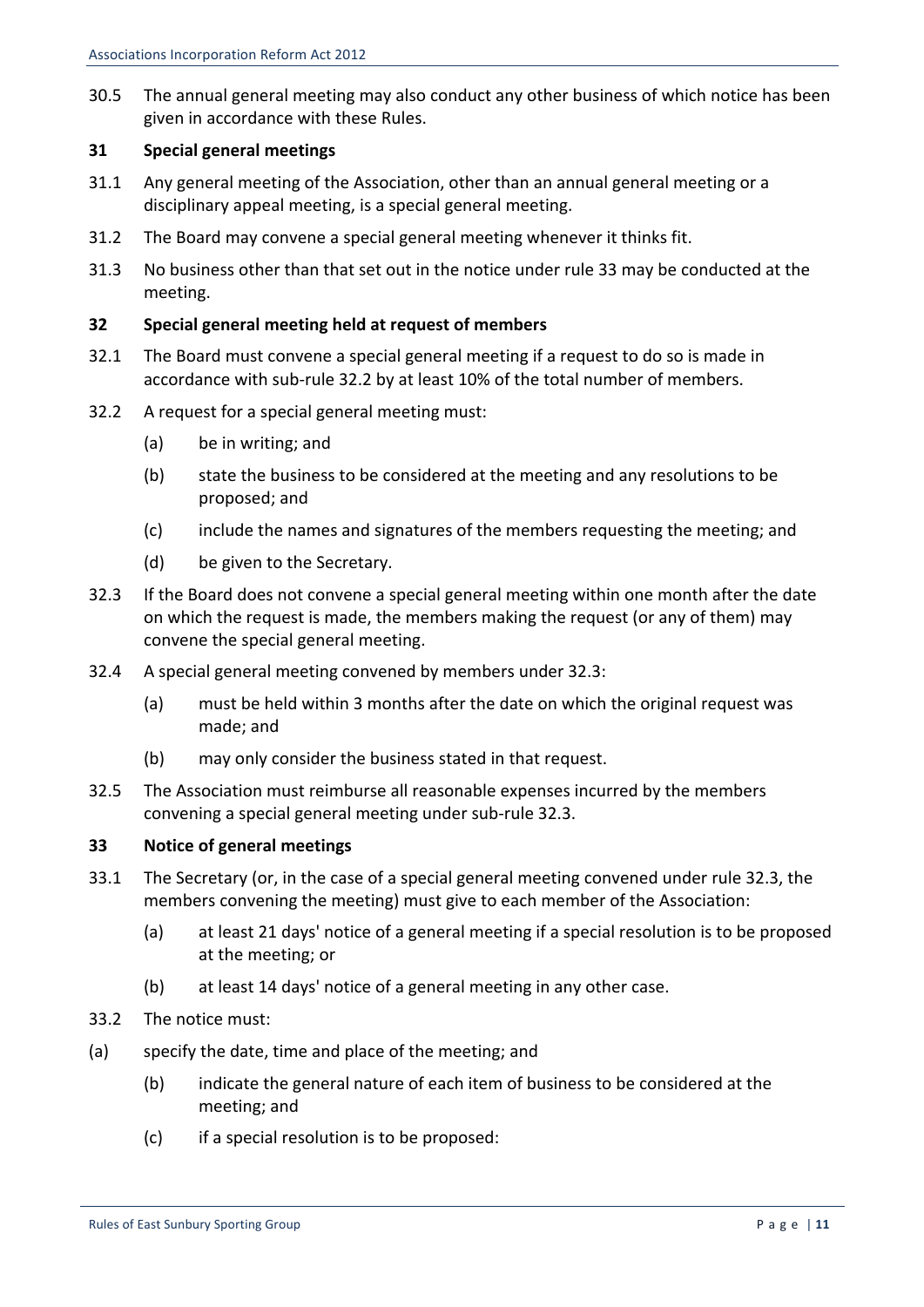30.5 The annual general meeting may also conduct any other business of which notice has been given in accordance with these Rules.

## **31 Special general meetings**

- 31.1 Any general meeting of the Association, other than an annual general meeting or a disciplinary appeal meeting, is a special general meeting.
- 31.2 The Board may convene a special general meeting whenever it thinks fit.
- 31.3 No business other than that set out in the notice under rule 33 may be conducted at the meeting.

## **32 Special general meeting held at request of members**

- 32.1 The Board must convene a special general meeting if a request to do so is made in accordance with sub-rule 32.2 by at least 10% of the total number of members.
- 32.2 A request for a special general meeting must:
	- $(a)$  be in writing; and
	- (b) state the business to be considered at the meeting and any resolutions to be proposed; and
	- (c) include the names and signatures of the members requesting the meeting; and
	- (d) be given to the Secretary.
- 32.3 If the Board does not convene a special general meeting within one month after the date on which the request is made, the members making the request (or any of them) may convene the special general meeting.
- 32.4 A special general meeting convened by members under 32.3:
	- (a) must be held within 3 months after the date on which the original request was made; and
	- (b) may only consider the business stated in that request.
- 32.5 The Association must reimburse all reasonable expenses incurred by the members convening a special general meeting under sub-rule 32.3.

## **33 Notice of general meetings**

- 33.1 The Secretary (or, in the case of a special general meeting convened under rule 32.3, the members convening the meeting) must give to each member of the Association:
	- (a) at least 21 days' notice of a general meeting if a special resolution is to be proposed at the meeting; or
	- (b) at least 14 days' notice of a general meeting in any other case.
- 33.2 The notice must:
- (a) specify the date, time and place of the meeting; and
	- (b) indicate the general nature of each item of business to be considered at the meeting; and
	- $(c)$  if a special resolution is to be proposed: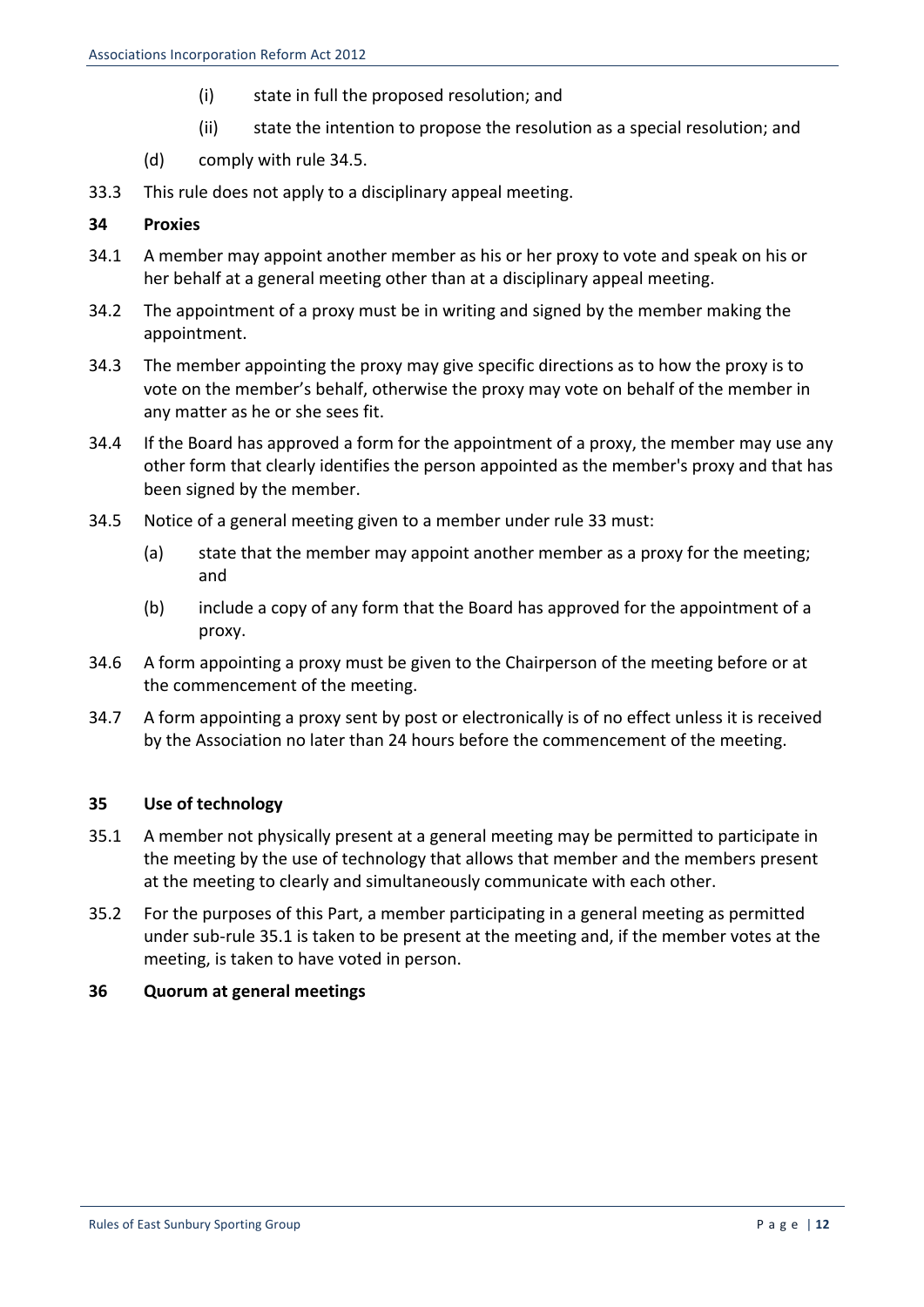- (i) state in full the proposed resolution; and
- (ii) state the intention to propose the resolution as a special resolution; and
- (d) comply with rule 34.5.
- 33.3 This rule does not apply to a disciplinary appeal meeting.

## **34 Proxies**

- 34.1 A member may appoint another member as his or her proxy to vote and speak on his or her behalf at a general meeting other than at a disciplinary appeal meeting.
- 34.2 The appointment of a proxy must be in writing and signed by the member making the appointment.
- 34.3 The member appointing the proxy may give specific directions as to how the proxy is to vote on the member's behalf, otherwise the proxy may vote on behalf of the member in any matter as he or she sees fit.
- 34.4 If the Board has approved a form for the appointment of a proxy, the member may use any other form that clearly identifies the person appointed as the member's proxy and that has been signed by the member.
- 34.5 Notice of a general meeting given to a member under rule 33 must:
	- (a) state that the member may appoint another member as a proxy for the meeting: and
	- (b) include a copy of any form that the Board has approved for the appointment of a proxy.
- 34.6 A form appointing a proxy must be given to the Chairperson of the meeting before or at the commencement of the meeting.
- 34.7 A form appointing a proxy sent by post or electronically is of no effect unless it is received by the Association no later than 24 hours before the commencement of the meeting.

## **35 Use of technology**

- 35.1 A member not physically present at a general meeting may be permitted to participate in the meeting by the use of technology that allows that member and the members present at the meeting to clearly and simultaneously communicate with each other.
- 35.2 For the purposes of this Part, a member participating in a general meeting as permitted under sub-rule 35.1 is taken to be present at the meeting and, if the member votes at the meeting, is taken to have voted in person.

## **36 Quorum at general meetings**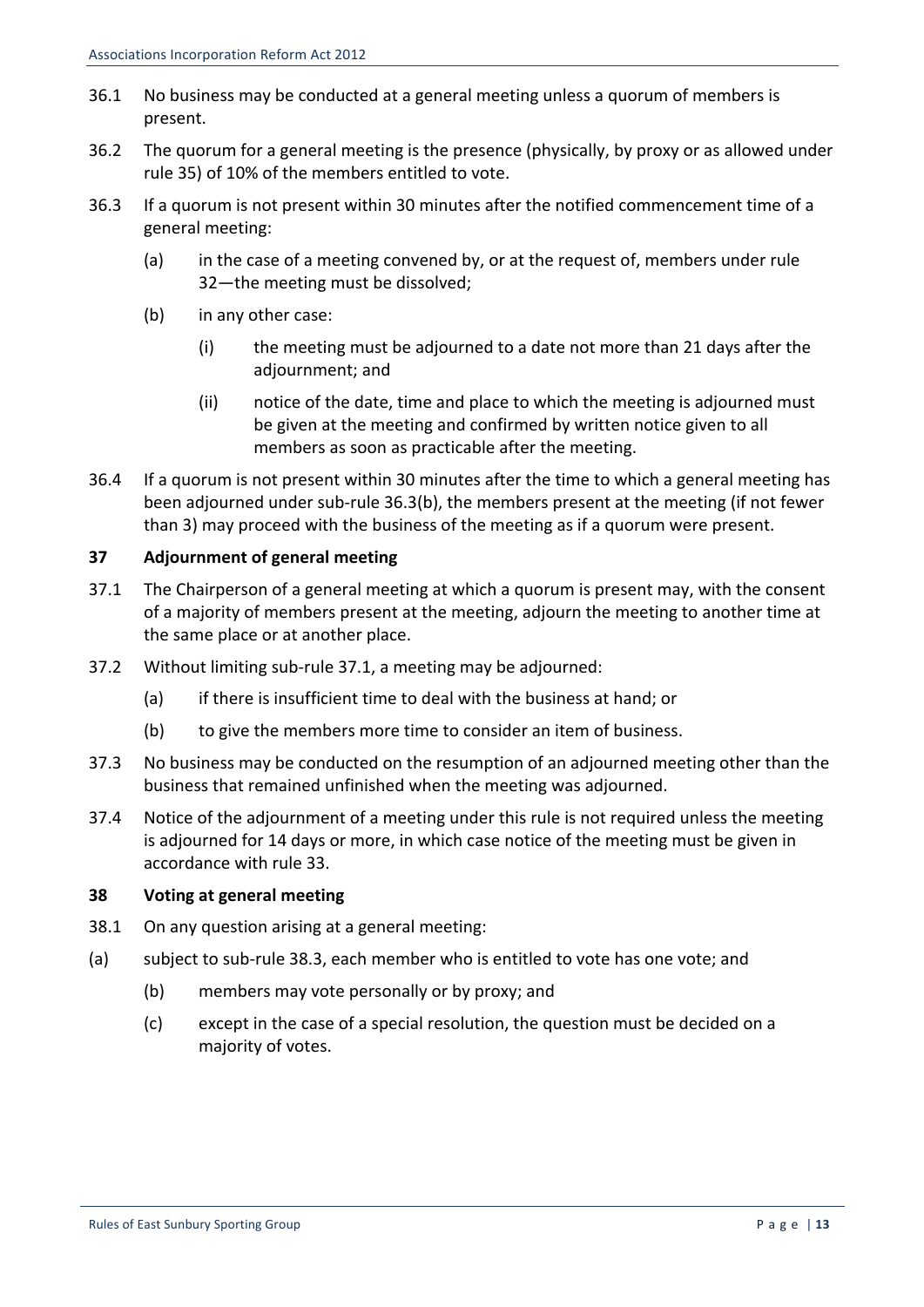- 36.1 No business may be conducted at a general meeting unless a quorum of members is present.
- 36.2 The quorum for a general meeting is the presence (physically, by proxy or as allowed under rule 35) of 10% of the members entitled to vote.
- 36.3 If a quorum is not present within 30 minutes after the notified commencement time of a general meeting:
	- (a) in the case of a meeting convened by, or at the request of, members under rule 32—the meeting must be dissolved;
	- (b) in any other case:
		- (i) the meeting must be adjourned to a date not more than 21 days after the adjournment; and
		- (ii) notice of the date, time and place to which the meeting is adjourned must be given at the meeting and confirmed by written notice given to all members as soon as practicable after the meeting.
- 36.4 If a quorum is not present within 30 minutes after the time to which a general meeting has been adjourned under sub-rule 36.3(b), the members present at the meeting (if not fewer than 3) may proceed with the business of the meeting as if a quorum were present.

## **37 Adjournment of general meeting**

- 37.1 The Chairperson of a general meeting at which a quorum is present may, with the consent of a majority of members present at the meeting, adjourn the meeting to another time at the same place or at another place.
- 37.2 Without limiting sub-rule 37.1, a meeting may be adjourned:
	- (a) if there is insufficient time to deal with the business at hand; or
	- (b) to give the members more time to consider an item of business.
- 37.3 No business may be conducted on the resumption of an adjourned meeting other than the business that remained unfinished when the meeting was adjourned.
- 37.4 Notice of the adjournment of a meeting under this rule is not required unless the meeting is adjourned for 14 days or more, in which case notice of the meeting must be given in accordance with rule 33.

## **38 Voting at general meeting**

- 38.1 On any question arising at a general meeting:
- (a) subject to sub-rule 38.3, each member who is entitled to vote has one vote; and
	- (b) members may vote personally or by proxy; and
	- (c) except in the case of a special resolution, the question must be decided on a majority of votes.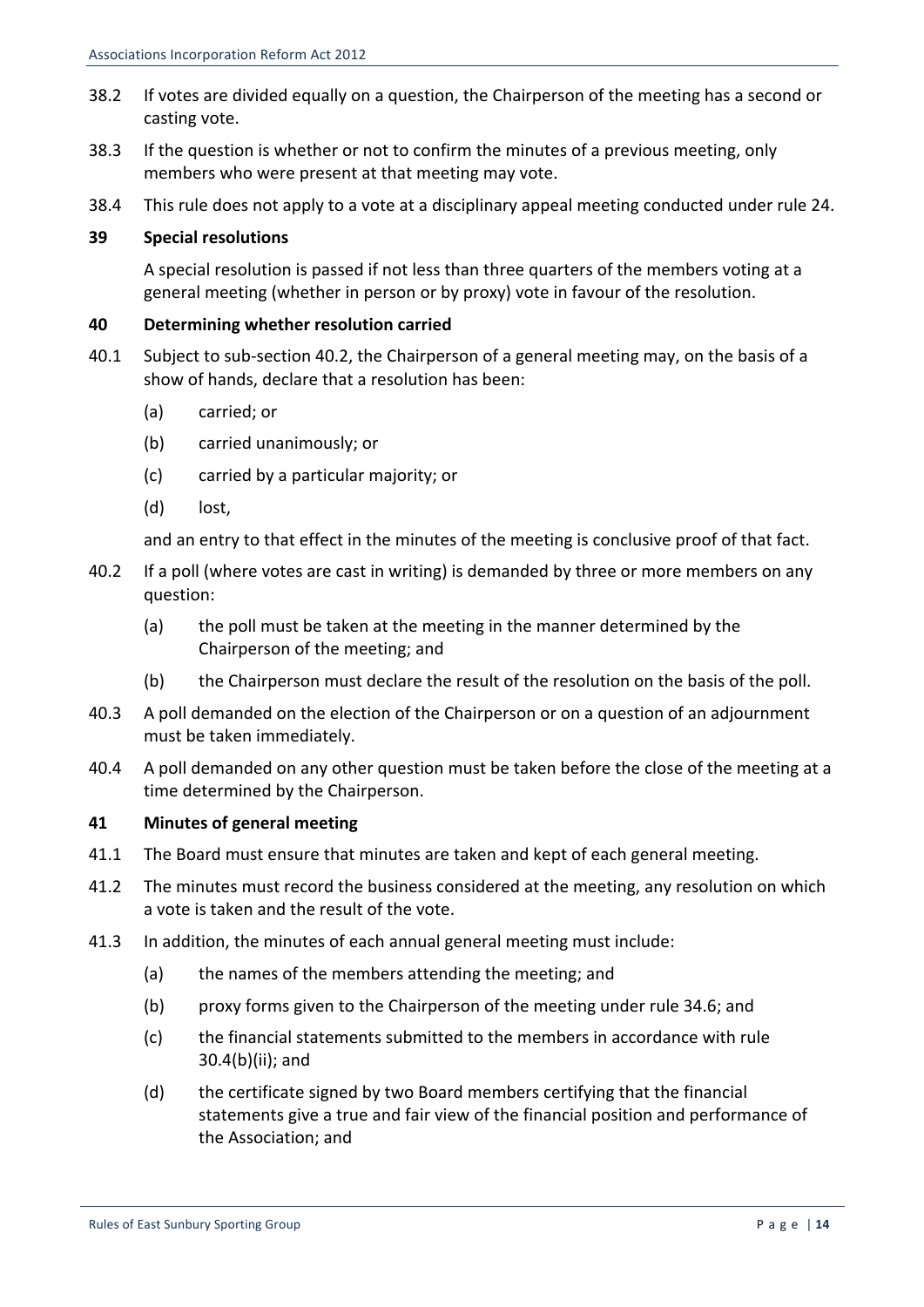- 38.2 If votes are divided equally on a question, the Chairperson of the meeting has a second or casting vote.
- 38.3 If the question is whether or not to confirm the minutes of a previous meeting, only members who were present at that meeting may vote.
- 38.4 This rule does not apply to a vote at a disciplinary appeal meeting conducted under rule 24.

## **39 Special resolutions**

A special resolution is passed if not less than three quarters of the members voting at a general meeting (whether in person or by proxy) vote in favour of the resolution.

## **40 Determining whether resolution carried**

- 40.1 Subject to sub-section 40.2, the Chairperson of a general meeting may, on the basis of a show of hands, declare that a resolution has been:
	- (a) carried; or
	- (b) carried unanimously; or
	- (c) carried by a particular majority; or
	- (d) lost,

and an entry to that effect in the minutes of the meeting is conclusive proof of that fact.

- 40.2 If a poll (where votes are cast in writing) is demanded by three or more members on any question:
	- (a) the poll must be taken at the meeting in the manner determined by the Chairperson of the meeting; and
	- (b) the Chairperson must declare the result of the resolution on the basis of the poll.
- 40.3 A poll demanded on the election of the Chairperson or on a question of an adjournment must be taken immediately.
- 40.4 A poll demanded on any other question must be taken before the close of the meeting at a time determined by the Chairperson.

## **41 Minutes of general meeting**

- 41.1 The Board must ensure that minutes are taken and kept of each general meeting.
- 41.2 The minutes must record the business considered at the meeting, any resolution on which a vote is taken and the result of the vote.
- 41.3 In addition, the minutes of each annual general meeting must include:
	- (a) the names of the members attending the meeting; and
	- (b) proxy forms given to the Chairperson of the meeting under rule 34.6; and
	- (c) the financial statements submitted to the members in accordance with rule  $30.4(b)(ii)$ ; and
	- (d) the certificate signed by two Board members certifying that the financial statements give a true and fair view of the financial position and performance of the Association; and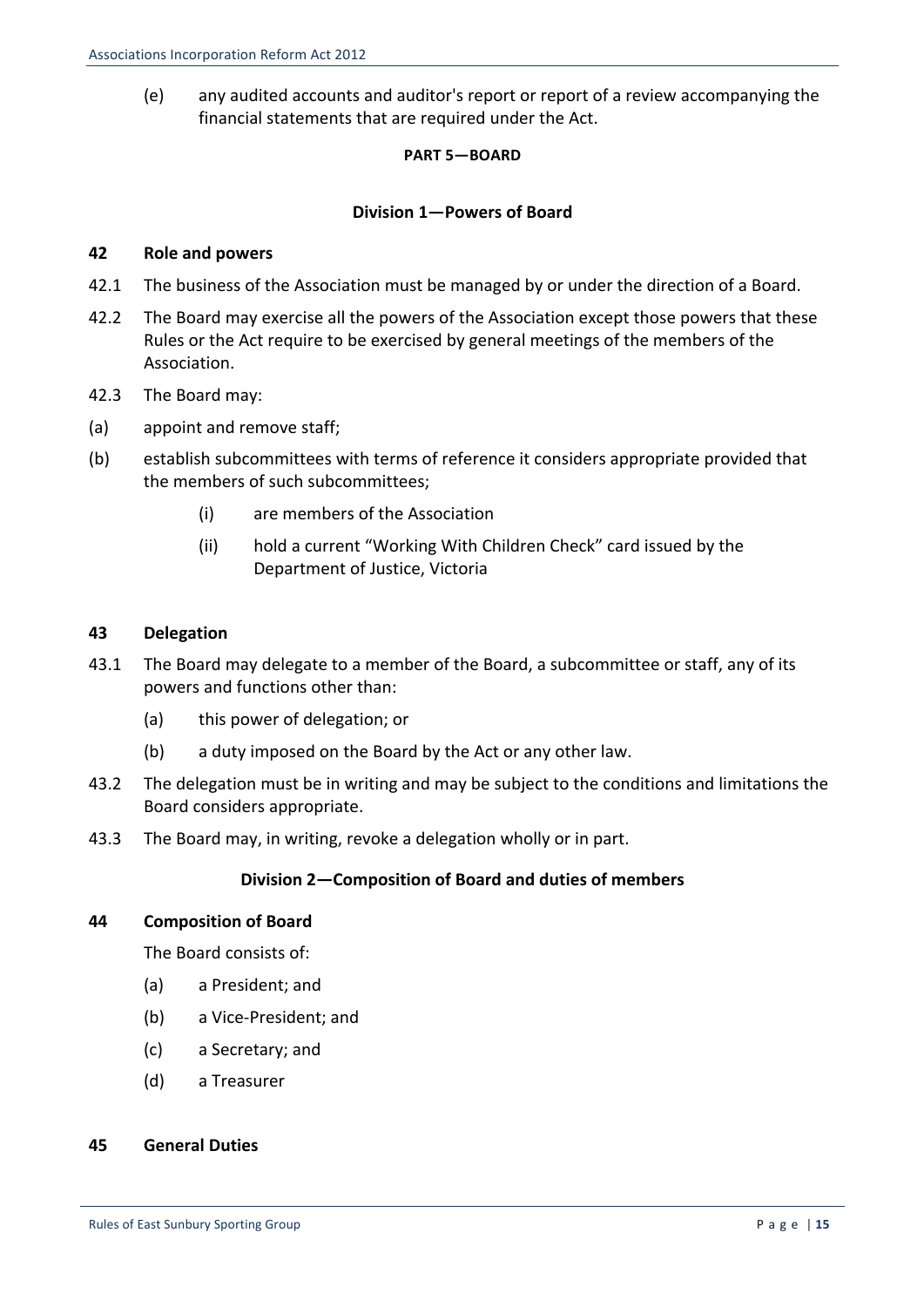(e) any audited accounts and auditor's report or report of a review accompanying the financial statements that are required under the Act.

#### **PART 5—BOARD**

### **Division 1—Powers of Board**

#### **42 Role and powers**

- 42.1 The business of the Association must be managed by or under the direction of a Board.
- 42.2 The Board may exercise all the powers of the Association except those powers that these Rules or the Act require to be exercised by general meetings of the members of the Association.
- 42.3 The Board may:
- (a) appoint and remove staff;
- (b) establish subcommittees with terms of reference it considers appropriate provided that the members of such subcommittees;
	- (i) are members of the Association
	- (ii) hold a current "Working With Children Check" card issued by the Department of Justice, Victoria

#### **43 Delegation**

- 43.1 The Board may delegate to a member of the Board, a subcommittee or staff, any of its powers and functions other than:
	- (a) this power of delegation; or
	- (b) a duty imposed on the Board by the Act or any other law.
- 43.2 The delegation must be in writing and may be subject to the conditions and limitations the Board considers appropriate.
- 43.3 The Board may, in writing, revoke a delegation wholly or in part.

#### **Division 2—Composition of Board and duties of members**

#### **44 Composition of Board**

The Board consists of:

- (a) a President; and
- (b) a Vice-President; and
- (c) a Secretary; and
- (d) a Treasurer

#### **45 General Duties**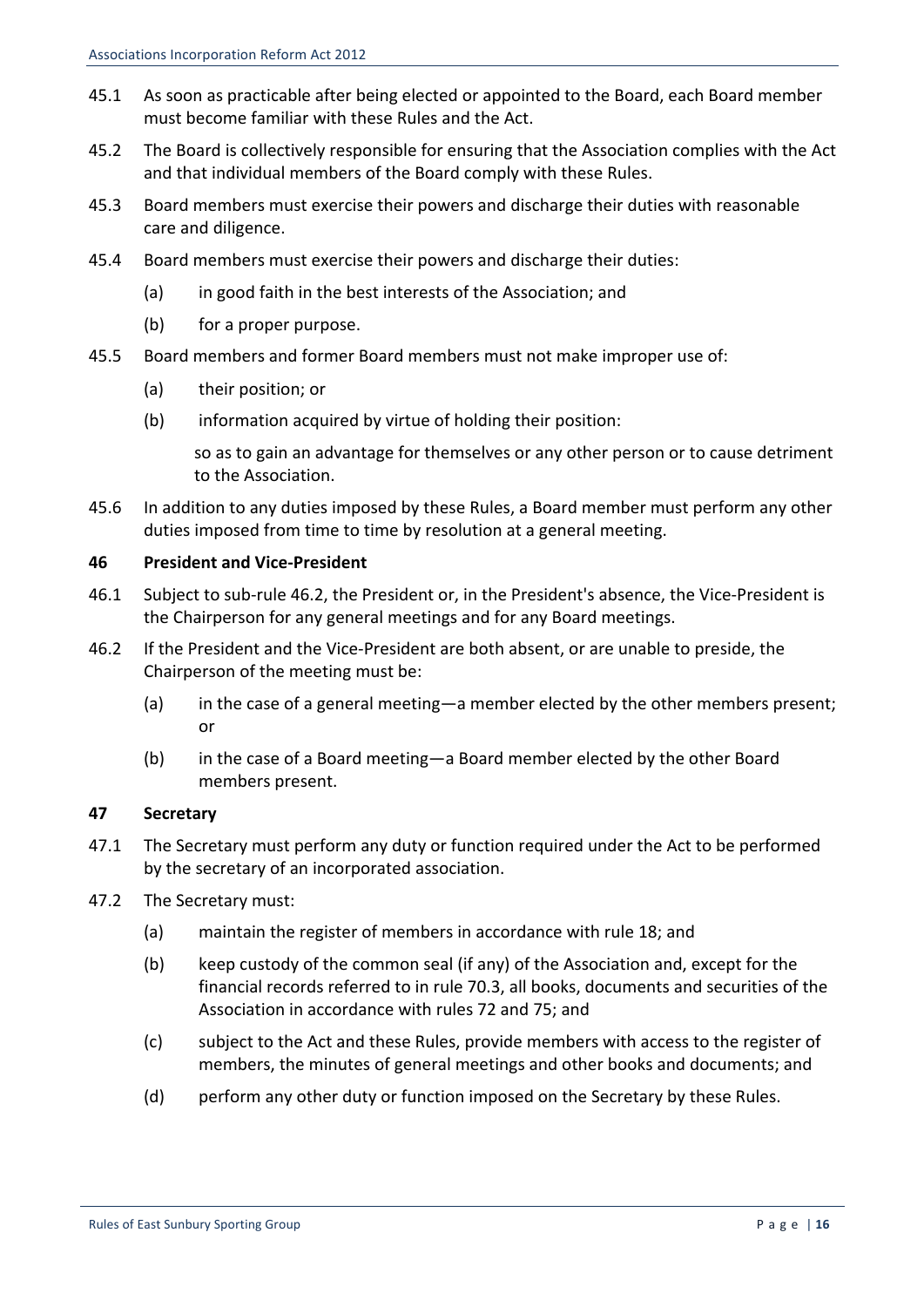- 45.1 As soon as practicable after being elected or appointed to the Board, each Board member must become familiar with these Rules and the Act.
- 45.2 The Board is collectively responsible for ensuring that the Association complies with the Act and that individual members of the Board comply with these Rules.
- 45.3 Board members must exercise their powers and discharge their duties with reasonable care and diligence.
- 45.4 Board members must exercise their powers and discharge their duties:
	- (a) in good faith in the best interests of the Association; and
	- $(b)$  for a proper purpose.
- 45.5 Board members and former Board members must not make improper use of:
	- (a) their position; or
	- (b) information acquired by virtue of holding their position:

so as to gain an advantage for themselves or any other person or to cause detriment to the Association.

45.6 In addition to any duties imposed by these Rules, a Board member must perform any other duties imposed from time to time by resolution at a general meeting.

## **46 President and Vice-President**

- 46.1 Subject to sub-rule 46.2, the President or, in the President's absence, the Vice-President is the Chairperson for any general meetings and for any Board meetings.
- 46.2 If the President and the Vice-President are both absent, or are unable to preside, the Chairperson of the meeting must be:
	- (a) in the case of a general meeting—a member elected by the other members present; or
	- (b) in the case of a Board meeting—a Board member elected by the other Board members present.

## **47 Secretary**

- 47.1 The Secretary must perform any duty or function required under the Act to be performed by the secretary of an incorporated association.
- 47.2 The Secretary must:
	- (a) maintain the register of members in accordance with rule 18; and
	- (b) keep custody of the common seal (if any) of the Association and, except for the financial records referred to in rule 70.3, all books, documents and securities of the Association in accordance with rules 72 and 75; and
	- (c) subject to the Act and these Rules, provide members with access to the register of members, the minutes of general meetings and other books and documents; and
	- (d) perform any other duty or function imposed on the Secretary by these Rules.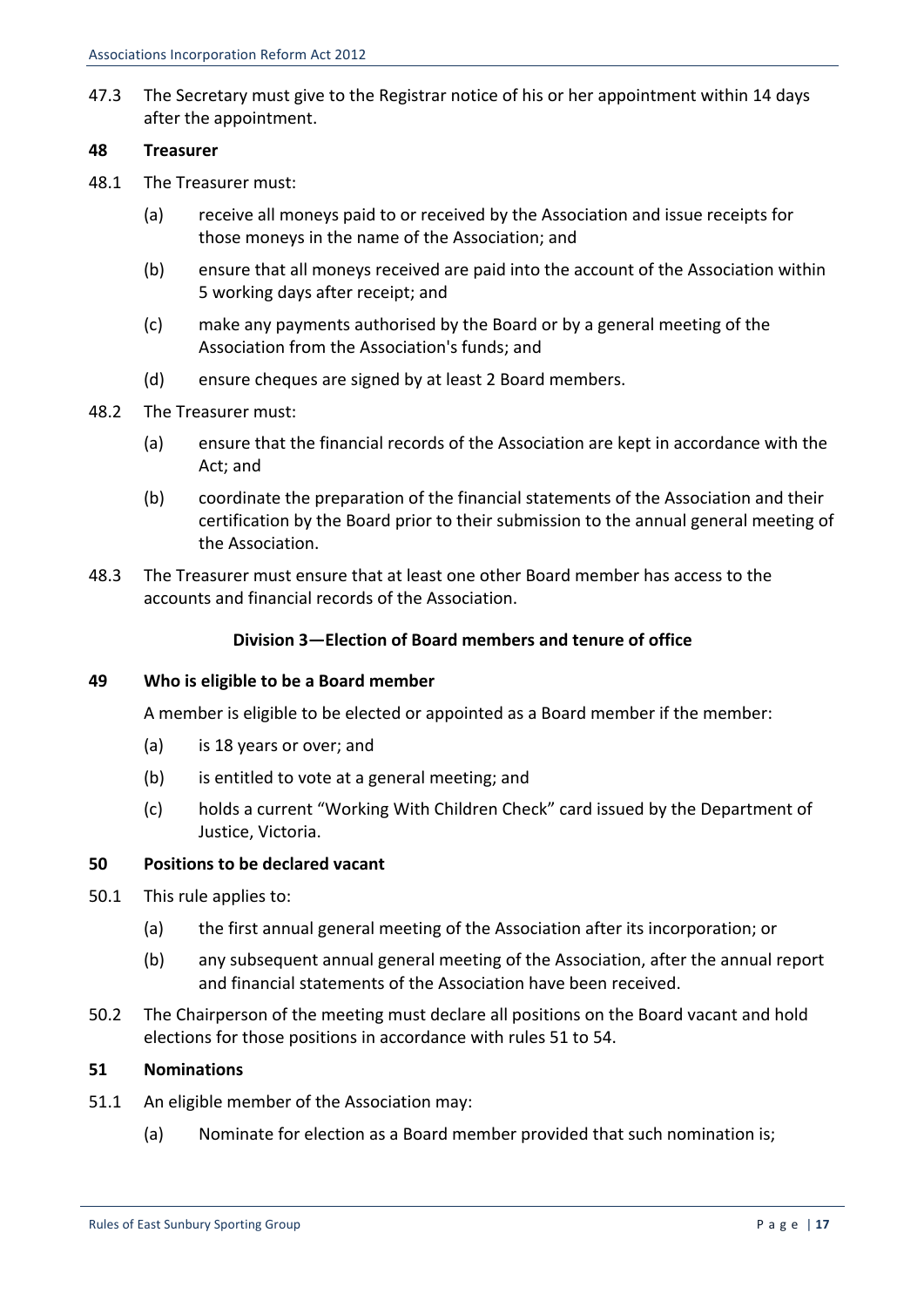47.3 The Secretary must give to the Registrar notice of his or her appointment within 14 days after the appointment.

#### **48 Treasurer**

- 48.1 The Treasurer must:
	- (a) receive all moneys paid to or received by the Association and issue receipts for those moneys in the name of the Association; and
	- (b) ensure that all moneys received are paid into the account of the Association within 5 working days after receipt; and
	- (c) make any payments authorised by the Board or by a general meeting of the Association from the Association's funds; and
	- (d) ensure cheques are signed by at least 2 Board members.
- 48.2 The Treasurer must:
	- (a) ensure that the financial records of the Association are kept in accordance with the Act; and
	- (b) coordinate the preparation of the financial statements of the Association and their certification by the Board prior to their submission to the annual general meeting of the Association.
- 48.3 The Treasurer must ensure that at least one other Board member has access to the accounts and financial records of the Association.

### **Division 3—Election of Board members and tenure of office**

#### **49 Who is eligible to be a Board member**

A member is eligible to be elected or appointed as a Board member if the member:

- (a) is 18 years or over; and
- (b) is entitled to vote at a general meeting; and
- (c) holds a current "Working With Children Check" card issued by the Department of Justice, Victoria.

#### **50 Positions to be declared vacant**

- 50.1 This rule applies to:
	- (a) the first annual general meeting of the Association after its incorporation; or
	- (b) any subsequent annual general meeting of the Association, after the annual report and financial statements of the Association have been received.
- 50.2 The Chairperson of the meeting must declare all positions on the Board vacant and hold elections for those positions in accordance with rules 51 to 54.

#### **51 Nominations**

- 51.1 An eligible member of the Association may:
	- (a) Nominate for election as a Board member provided that such nomination is: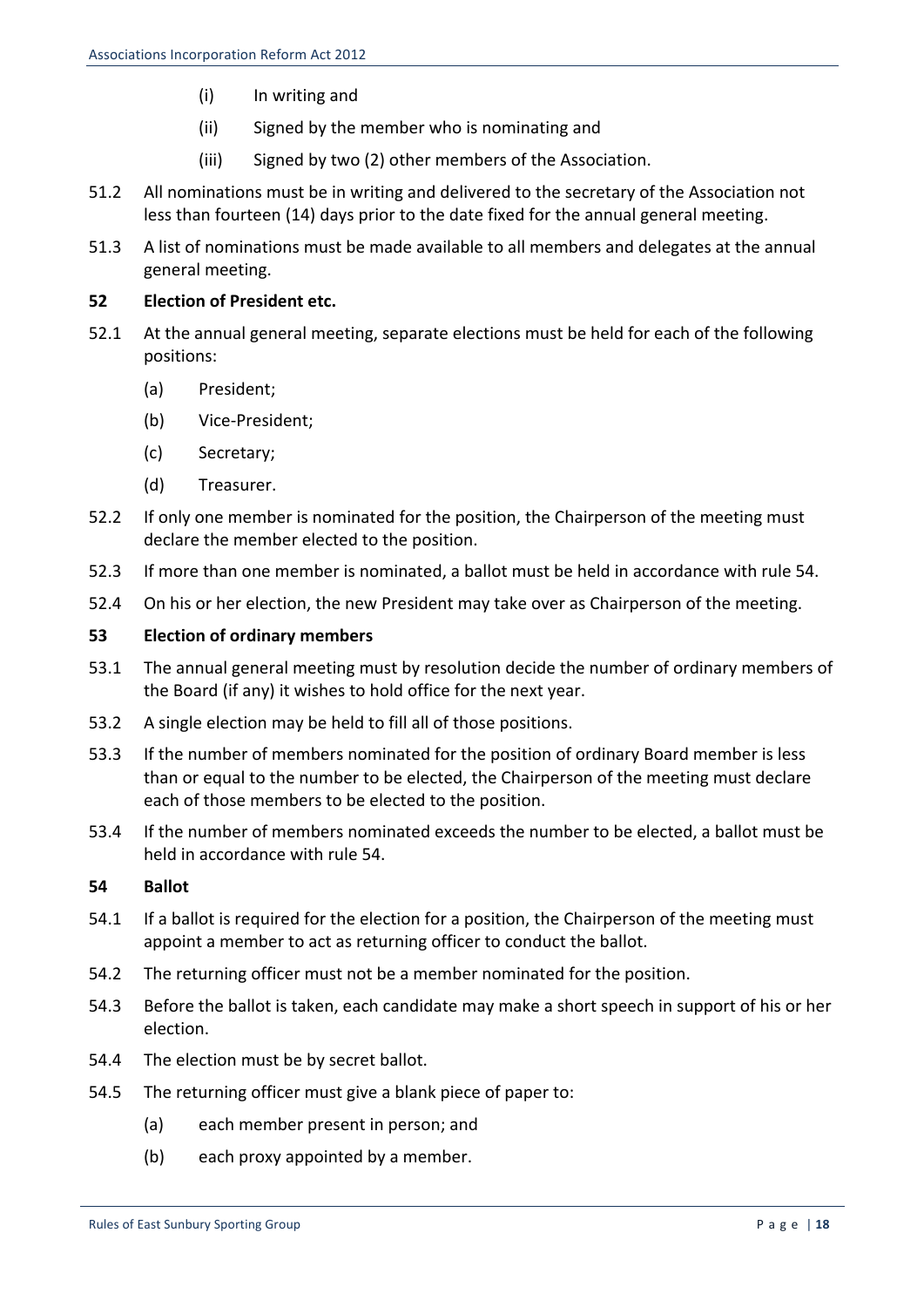- (i) In writing and
- (ii) Signed by the member who is nominating and
- (iii) Signed by two (2) other members of the Association.
- 51.2 All nominations must be in writing and delivered to the secretary of the Association not less than fourteen (14) days prior to the date fixed for the annual general meeting.
- 51.3 A list of nominations must be made available to all members and delegates at the annual general meeting.

## **52 Election of President etc.**

- 52.1 At the annual general meeting, separate elections must be held for each of the following positions:
	- (a) President;
	- (b) Vice-President;
	- (c) Secretary;
	- (d) Treasurer.
- 52.2 If only one member is nominated for the position, the Chairperson of the meeting must declare the member elected to the position.
- 52.3 If more than one member is nominated, a ballot must be held in accordance with rule 54.
- 52.4 On his or her election, the new President may take over as Chairperson of the meeting.

## **53 Election of ordinary members**

- 53.1 The annual general meeting must by resolution decide the number of ordinary members of the Board (if any) it wishes to hold office for the next year.
- 53.2 A single election may be held to fill all of those positions.
- 53.3 If the number of members nominated for the position of ordinary Board member is less than or equal to the number to be elected, the Chairperson of the meeting must declare each of those members to be elected to the position.
- 53.4 If the number of members nominated exceeds the number to be elected, a ballot must be held in accordance with rule 54.

## **54 Ballot**

- 54.1 If a ballot is required for the election for a position, the Chairperson of the meeting must appoint a member to act as returning officer to conduct the ballot.
- 54.2 The returning officer must not be a member nominated for the position.
- 54.3 Before the ballot is taken, each candidate may make a short speech in support of his or her election.
- 54.4 The election must be by secret ballot.
- 54.5 The returning officer must give a blank piece of paper to:
	- (a) each member present in person; and
	- (b) each proxy appointed by a member.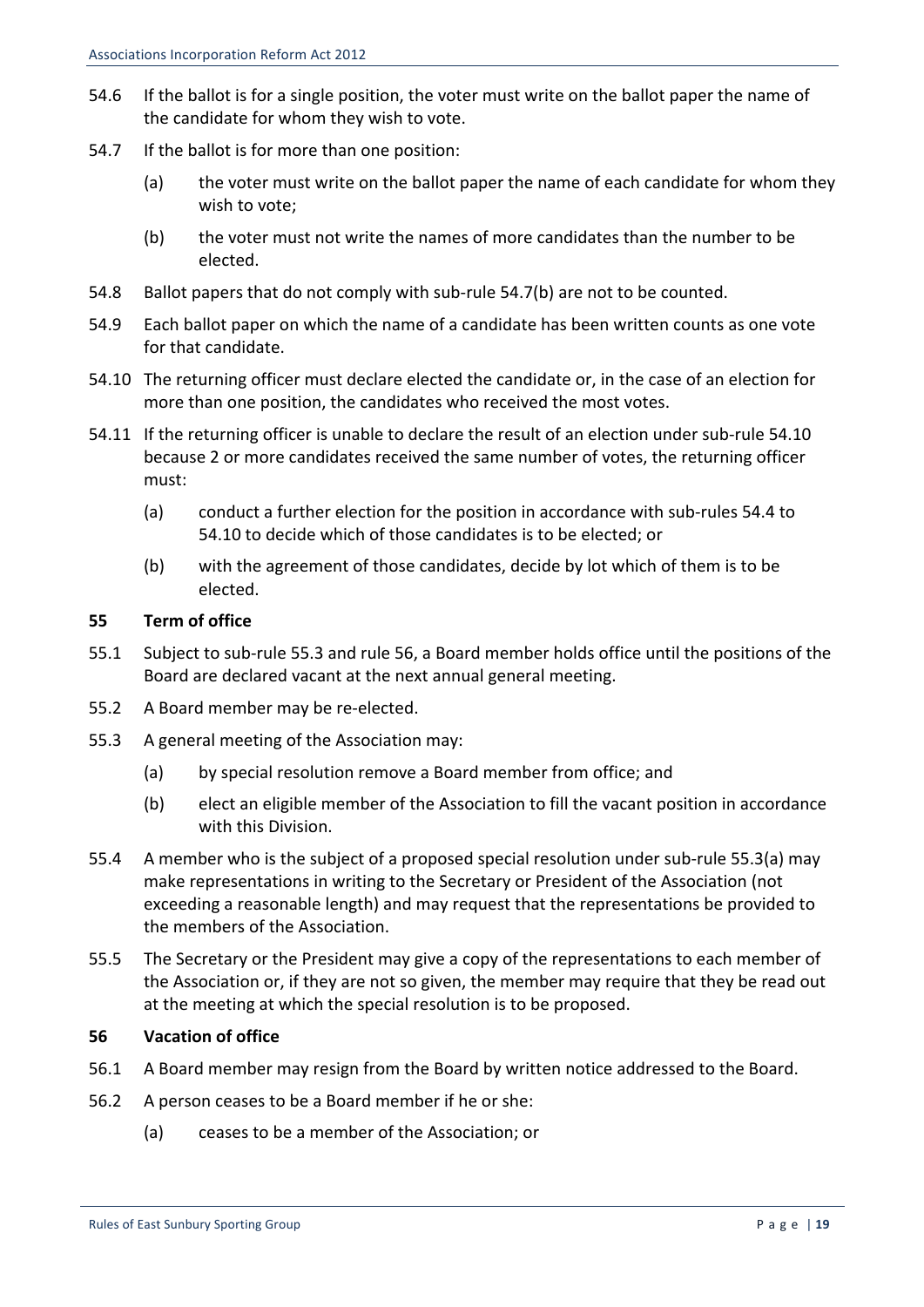- 54.6 If the ballot is for a single position, the voter must write on the ballot paper the name of the candidate for whom they wish to vote.
- 54.7 If the ballot is for more than one position:
	- (a) the voter must write on the ballot paper the name of each candidate for whom they wish to vote;
	- (b) the voter must not write the names of more candidates than the number to be elected.
- 54.8 Ballot papers that do not comply with sub-rule  $54.7(b)$  are not to be counted.
- 54.9 Each ballot paper on which the name of a candidate has been written counts as one vote for that candidate.
- 54.10 The returning officer must declare elected the candidate or, in the case of an election for more than one position, the candidates who received the most votes.
- 54.11 If the returning officer is unable to declare the result of an election under sub-rule 54.10 because 2 or more candidates received the same number of votes, the returning officer must:
	- (a) conduct a further election for the position in accordance with sub-rules 54.4 to 54.10 to decide which of those candidates is to be elected; or
	- (b) with the agreement of those candidates, decide by lot which of them is to be elected.

#### **55 Term of office**

- 55.1 Subject to sub-rule 55.3 and rule 56, a Board member holds office until the positions of the Board are declared vacant at the next annual general meeting.
- 55.2 A Board member may be re-elected.
- 55.3 A general meeting of the Association may:
	- (a) by special resolution remove a Board member from office; and
	- (b) elect an eligible member of the Association to fill the vacant position in accordance with this Division.
- 55.4 A member who is the subject of a proposed special resolution under sub-rule 55.3(a) may make representations in writing to the Secretary or President of the Association (not exceeding a reasonable length) and may request that the representations be provided to the members of the Association.
- 55.5 The Secretary or the President may give a copy of the representations to each member of the Association or, if they are not so given, the member may require that they be read out at the meeting at which the special resolution is to be proposed.

#### **56 Vacation of office**

- 56.1 A Board member may resign from the Board by written notice addressed to the Board.
- 56.2 A person ceases to be a Board member if he or she:
	- (a) ceases to be a member of the Association: or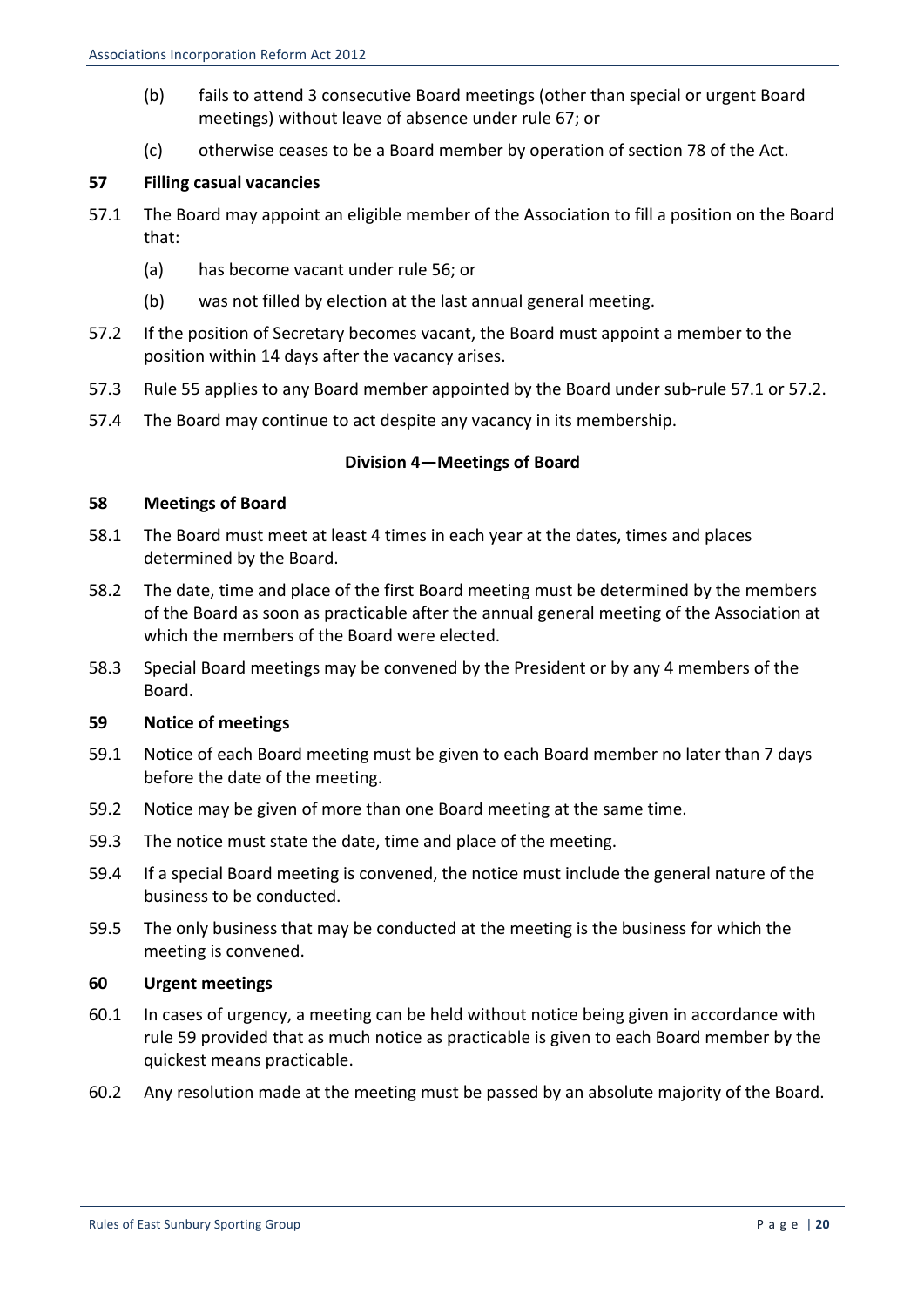- (b) fails to attend 3 consecutive Board meetings (other than special or urgent Board meetings) without leave of absence under rule 67; or
- (c) otherwise ceases to be a Board member by operation of section 78 of the Act.

## **57 Filling casual vacancies**

- 57.1 The Board may appoint an eligible member of the Association to fill a position on the Board that:
	- (a) has become vacant under rule 56; or
	- (b) was not filled by election at the last annual general meeting.
- 57.2 If the position of Secretary becomes vacant, the Board must appoint a member to the position within 14 days after the vacancy arises.
- 57.3 Rule 55 applies to any Board member appointed by the Board under sub-rule 57.1 or 57.2.
- 57.4 The Board may continue to act despite any vacancy in its membership.

### **Division 4—Meetings of Board**

#### **58 Meetings of Board**

- 58.1 The Board must meet at least 4 times in each year at the dates, times and places determined by the Board.
- 58.2 The date, time and place of the first Board meeting must be determined by the members of the Board as soon as practicable after the annual general meeting of the Association at which the members of the Board were elected.
- 58.3 Special Board meetings may be convened by the President or by any 4 members of the Board.

## **59 Notice of meetings**

- 59.1 Notice of each Board meeting must be given to each Board member no later than 7 days before the date of the meeting.
- 59.2 Notice may be given of more than one Board meeting at the same time.
- 59.3 The notice must state the date, time and place of the meeting.
- 59.4 If a special Board meeting is convened, the notice must include the general nature of the business to be conducted.
- 59.5 The only business that may be conducted at the meeting is the business for which the meeting is convened.

#### **60 Urgent meetings**

- 60.1 In cases of urgency, a meeting can be held without notice being given in accordance with rule 59 provided that as much notice as practicable is given to each Board member by the quickest means practicable.
- 60.2 Any resolution made at the meeting must be passed by an absolute majority of the Board.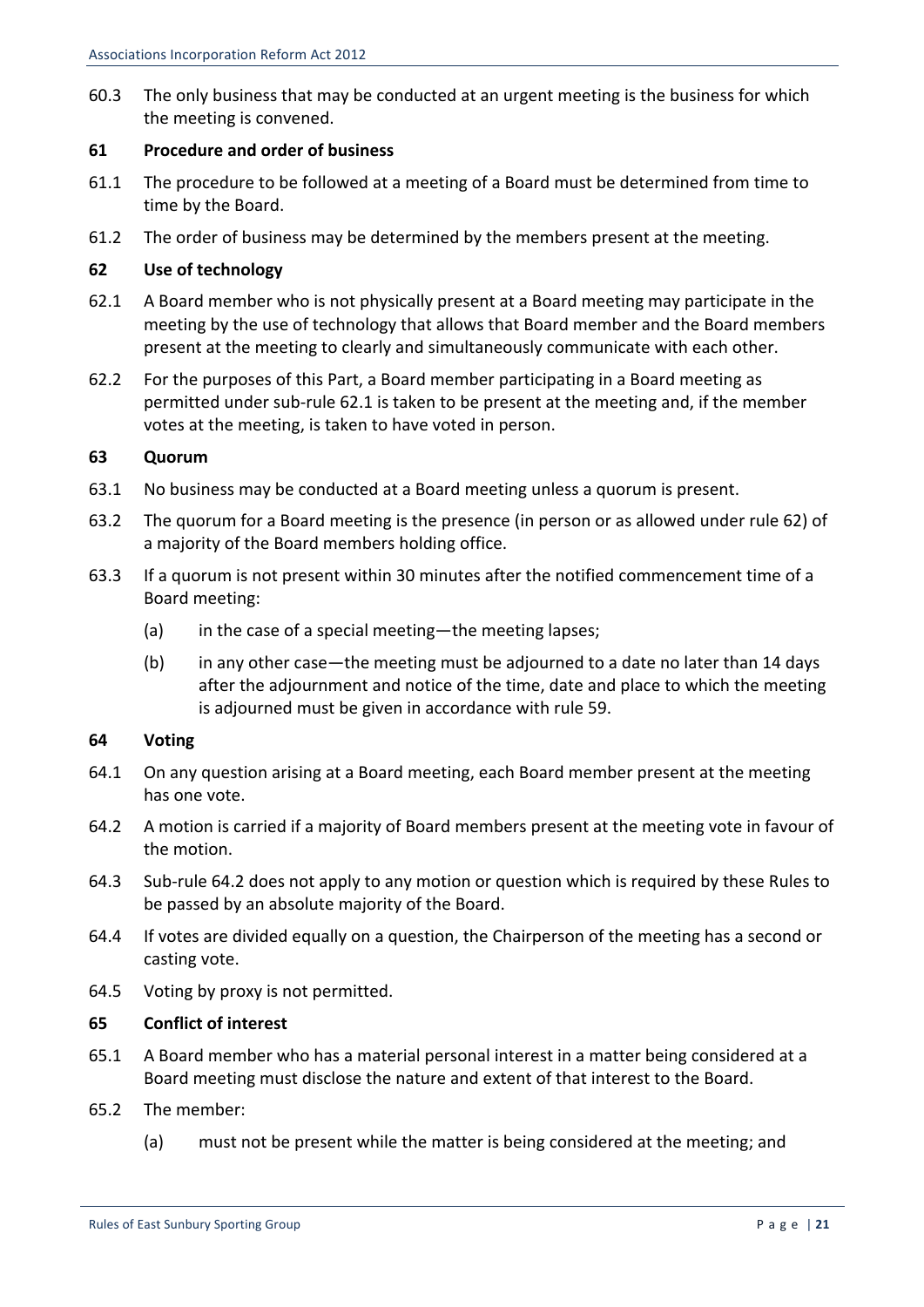60.3 The only business that may be conducted at an urgent meeting is the business for which the meeting is convened.

#### **61 Procedure and order of business**

- 61.1 The procedure to be followed at a meeting of a Board must be determined from time to time by the Board.
- 61.2 The order of business may be determined by the members present at the meeting.

### **62 Use of technology**

- 62.1 A Board member who is not physically present at a Board meeting may participate in the meeting by the use of technology that allows that Board member and the Board members present at the meeting to clearly and simultaneously communicate with each other.
- 62.2 For the purposes of this Part, a Board member participating in a Board meeting as permitted under sub-rule 62.1 is taken to be present at the meeting and, if the member votes at the meeting, is taken to have voted in person.

#### **63 Quorum**

- 63.1 No business may be conducted at a Board meeting unless a quorum is present.
- 63.2 The quorum for a Board meeting is the presence (in person or as allowed under rule 62) of a majority of the Board members holding office.
- 63.3 If a quorum is not present within 30 minutes after the notified commencement time of a Board meeting:
	- (a) in the case of a special meeting—the meeting lapses;
	- (b) in any other case—the meeting must be adjourned to a date no later than 14 days after the adjournment and notice of the time, date and place to which the meeting is adjourned must be given in accordance with rule 59.

#### **64 Voting**

- 64.1 On any question arising at a Board meeting, each Board member present at the meeting has one vote.
- 64.2 A motion is carried if a majority of Board members present at the meeting vote in favour of the motion.
- 64.3 Sub-rule 64.2 does not apply to any motion or question which is required by these Rules to be passed by an absolute majority of the Board.
- 64.4 If votes are divided equally on a question, the Chairperson of the meeting has a second or casting vote.
- 64.5 Voting by proxy is not permitted.

## **65 Conflict of interest**

- 65.1 A Board member who has a material personal interest in a matter being considered at a Board meeting must disclose the nature and extent of that interest to the Board.
- 65.2 The member:
	- (a) must not be present while the matter is being considered at the meeting; and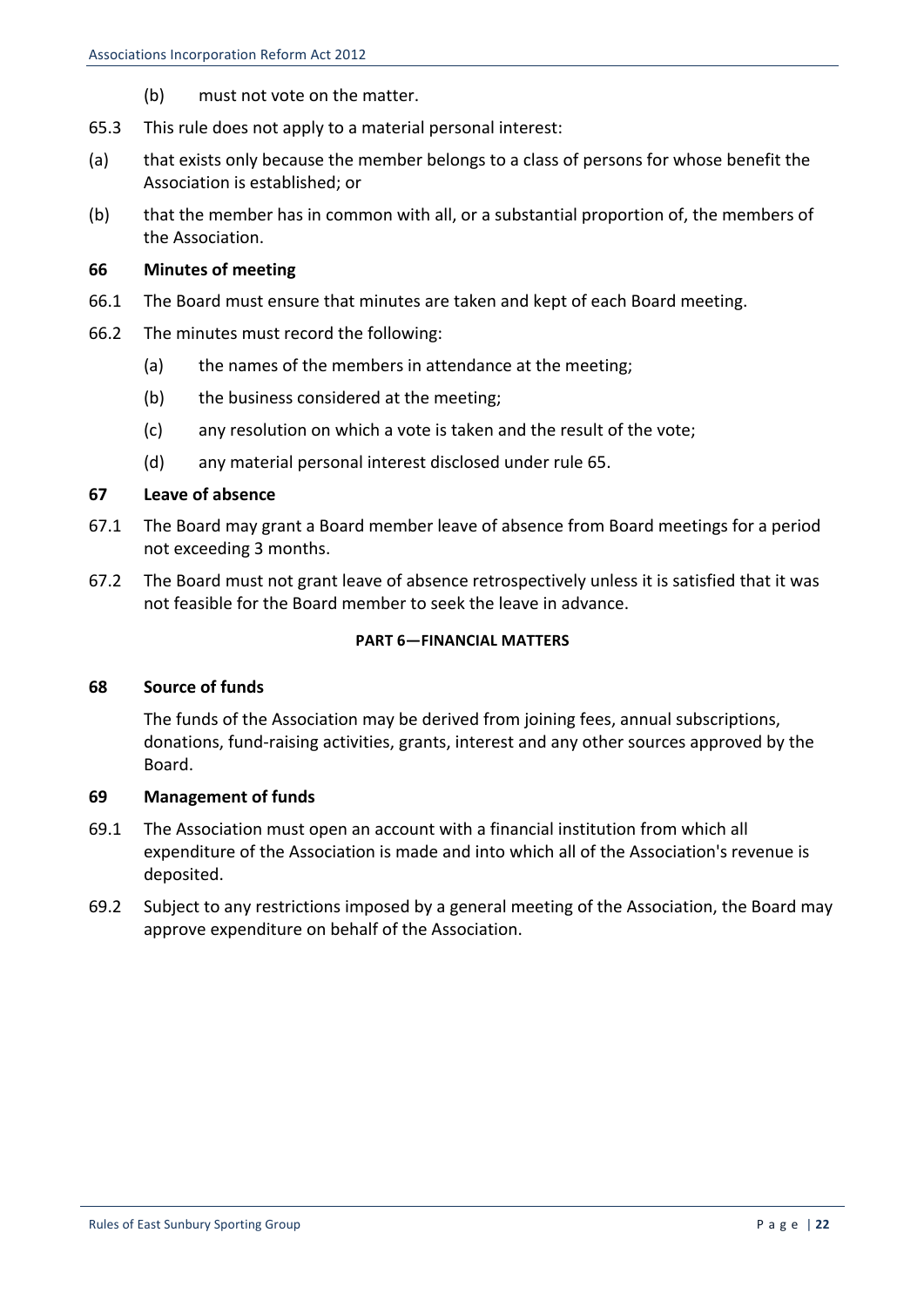- (b) must not vote on the matter.
- 65.3 This rule does not apply to a material personal interest:
- (a) that exists only because the member belongs to a class of persons for whose benefit the Association is established: or
- (b) that the member has in common with all, or a substantial proportion of, the members of the Association.

#### **66 Minutes of meeting**

- 66.1 The Board must ensure that minutes are taken and kept of each Board meeting.
- 66.2 The minutes must record the following:
	- (a) the names of the members in attendance at the meeting:
	- (b) the business considered at the meeting;
	- (c) any resolution on which a vote is taken and the result of the vote;
	- (d) any material personal interest disclosed under rule 65.

#### **67 Leave of absence**

- 67.1 The Board may grant a Board member leave of absence from Board meetings for a period not exceeding 3 months.
- 67.2 The Board must not grant leave of absence retrospectively unless it is satisfied that it was not feasible for the Board member to seek the leave in advance.

#### **PART 6-FINANCIAL MATTERS**

#### **68 Source of funds**

The funds of the Association may be derived from joining fees, annual subscriptions, donations, fund-raising activities, grants, interest and any other sources approved by the Board.

#### **69 Management of funds**

- 69.1 The Association must open an account with a financial institution from which all expenditure of the Association is made and into which all of the Association's revenue is deposited.
- 69.2 Subject to any restrictions imposed by a general meeting of the Association, the Board may approve expenditure on behalf of the Association.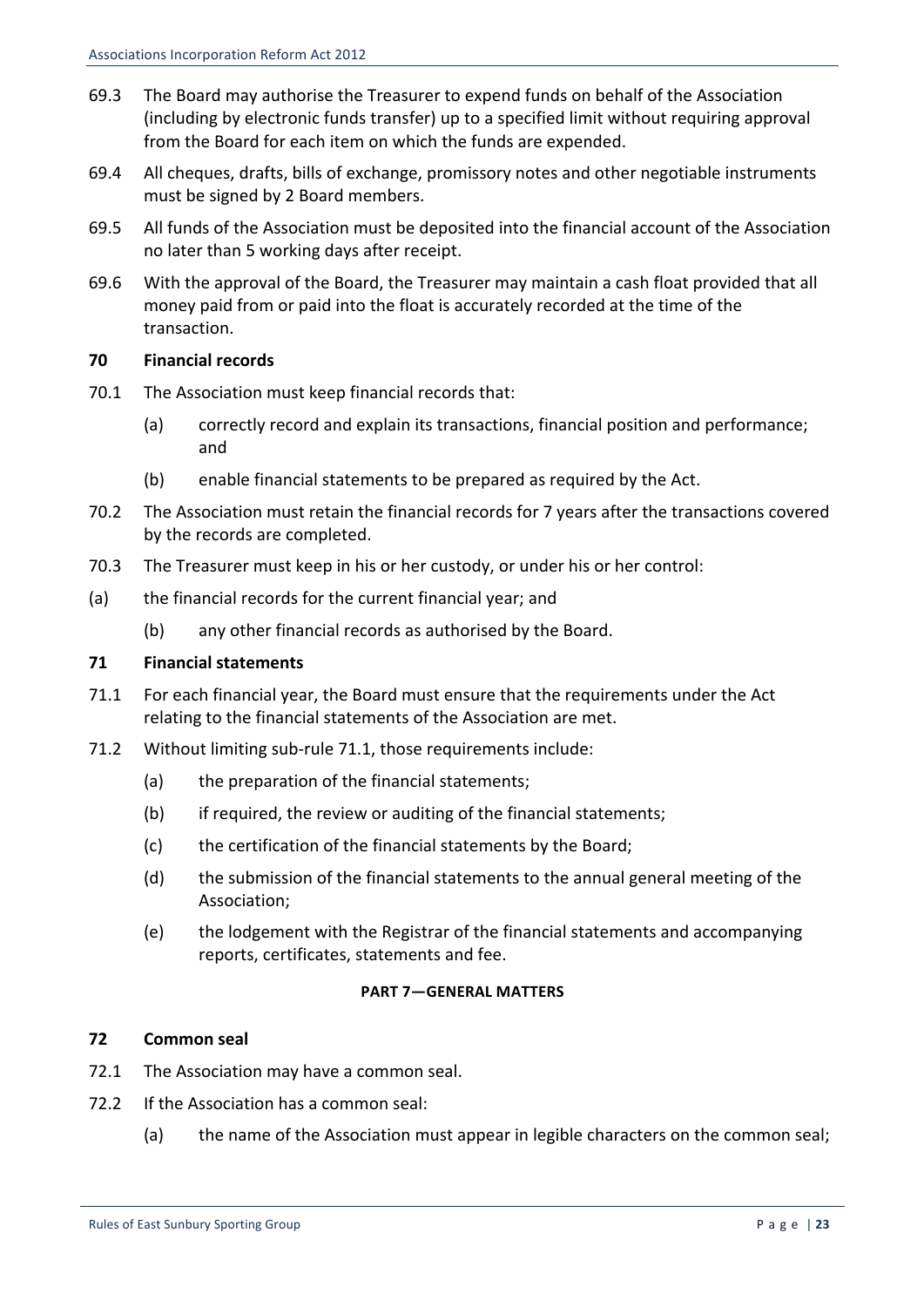- 69.3 The Board may authorise the Treasurer to expend funds on behalf of the Association (including by electronic funds transfer) up to a specified limit without requiring approval from the Board for each item on which the funds are expended.
- 69.4 All cheques, drafts, bills of exchange, promissory notes and other negotiable instruments must be signed by 2 Board members.
- 69.5 All funds of the Association must be deposited into the financial account of the Association no later than 5 working days after receipt.
- 69.6 With the approval of the Board, the Treasurer may maintain a cash float provided that all money paid from or paid into the float is accurately recorded at the time of the transaction.

## **70 Financial records**

- 70.1 The Association must keep financial records that:
	- (a) correctly record and explain its transactions, financial position and performance; and
	- (b) enable financial statements to be prepared as required by the Act.
- 70.2 The Association must retain the financial records for 7 years after the transactions covered by the records are completed.
- 70.3 The Treasurer must keep in his or her custody, or under his or her control:
- (a) the financial records for the current financial year; and
	- (b) any other financial records as authorised by the Board.

## **71 Financial statements**

- 71.1 For each financial year, the Board must ensure that the requirements under the Act relating to the financial statements of the Association are met.
- 71.2 Without limiting sub-rule 71.1, those requirements include:
	- (a) the preparation of the financial statements;
	- (b) if required, the review or auditing of the financial statements;
	- (c) the certification of the financial statements by the Board;
	- (d) the submission of the financial statements to the annual general meeting of the Association;
	- (e) the lodgement with the Registrar of the financial statements and accompanying reports, certificates, statements and fee.

## **PART 7—GENERAL MATTERS**

## **72 Common seal**

- 72.1 The Association may have a common seal.
- 72.2 If the Association has a common seal:
	- (a) the name of the Association must appear in legible characters on the common seal;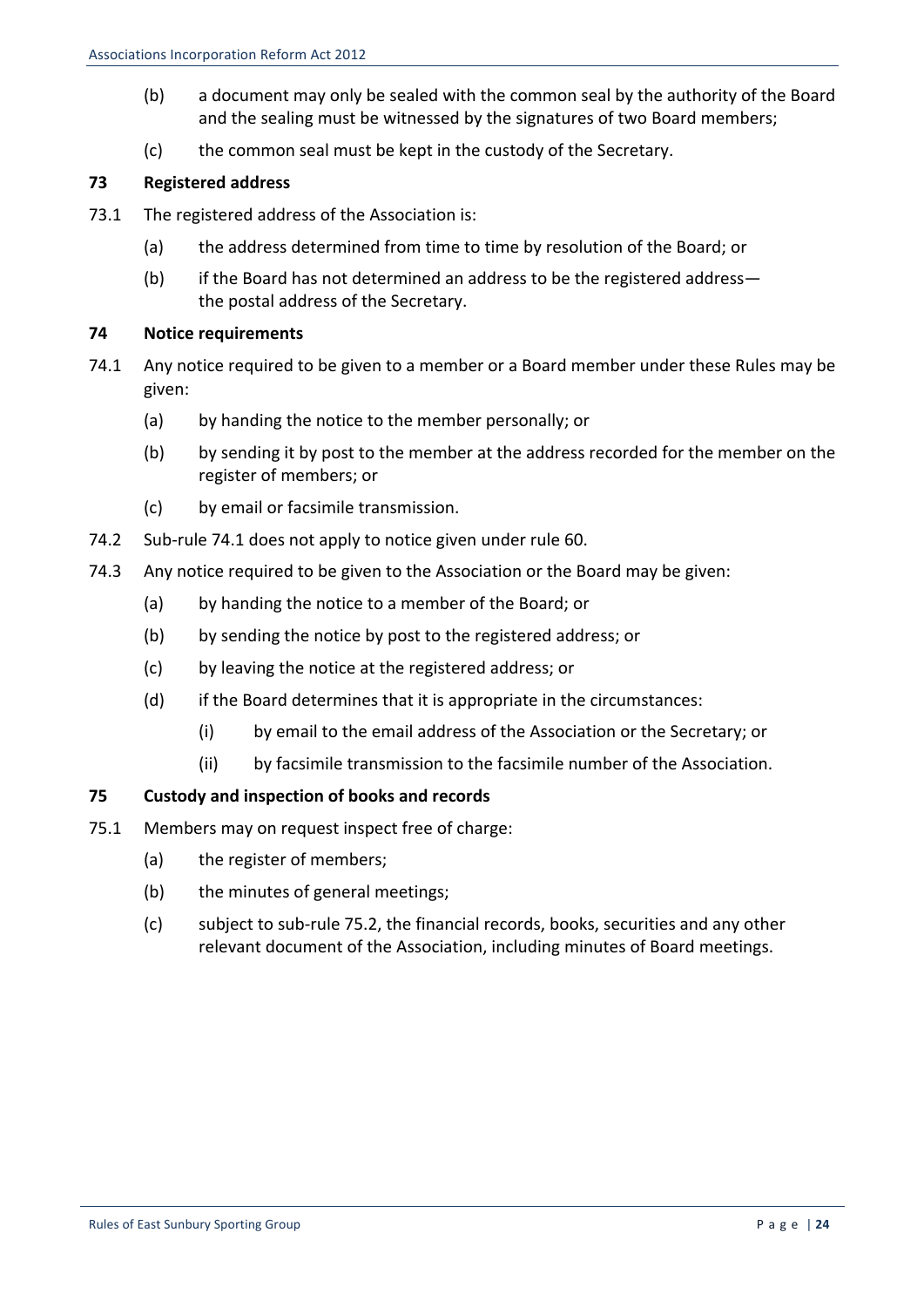- (b) a document may only be sealed with the common seal by the authority of the Board and the sealing must be witnessed by the signatures of two Board members;
- (c) the common seal must be kept in the custody of the Secretary.

## **73 Registered address**

- 73.1 The registered address of the Association is:
	- (a) the address determined from time to time by resolution of the Board; or
	- (b) if the Board has not determined an address to be the registered addressthe postal address of the Secretary.

## **74 Notice requirements**

- 74.1 Any notice required to be given to a member or a Board member under these Rules may be given:
	- (a) by handing the notice to the member personally; or
	- (b) by sending it by post to the member at the address recorded for the member on the register of members; or
	- (c) by email or facsimile transmission.
- 74.2 Sub-rule 74.1 does not apply to notice given under rule 60.
- 74.3 Any notice required to be given to the Association or the Board may be given:
	- (a) by handing the notice to a member of the Board; or
	- (b) by sending the notice by post to the registered address; or
	- (c) by leaving the notice at the registered address; or
	- $(d)$  if the Board determines that it is appropriate in the circumstances:
		- (i) by email to the email address of the Association or the Secretary; or
		- (ii) by facsimile transmission to the facsimile number of the Association.

## **75 Custody and inspection of books and records**

- 75.1 Members may on request inspect free of charge:
	- (a) the register of members;
	- $(b)$  the minutes of general meetings;
	- (c) subject to sub-rule 75.2, the financial records, books, securities and any other relevant document of the Association, including minutes of Board meetings.